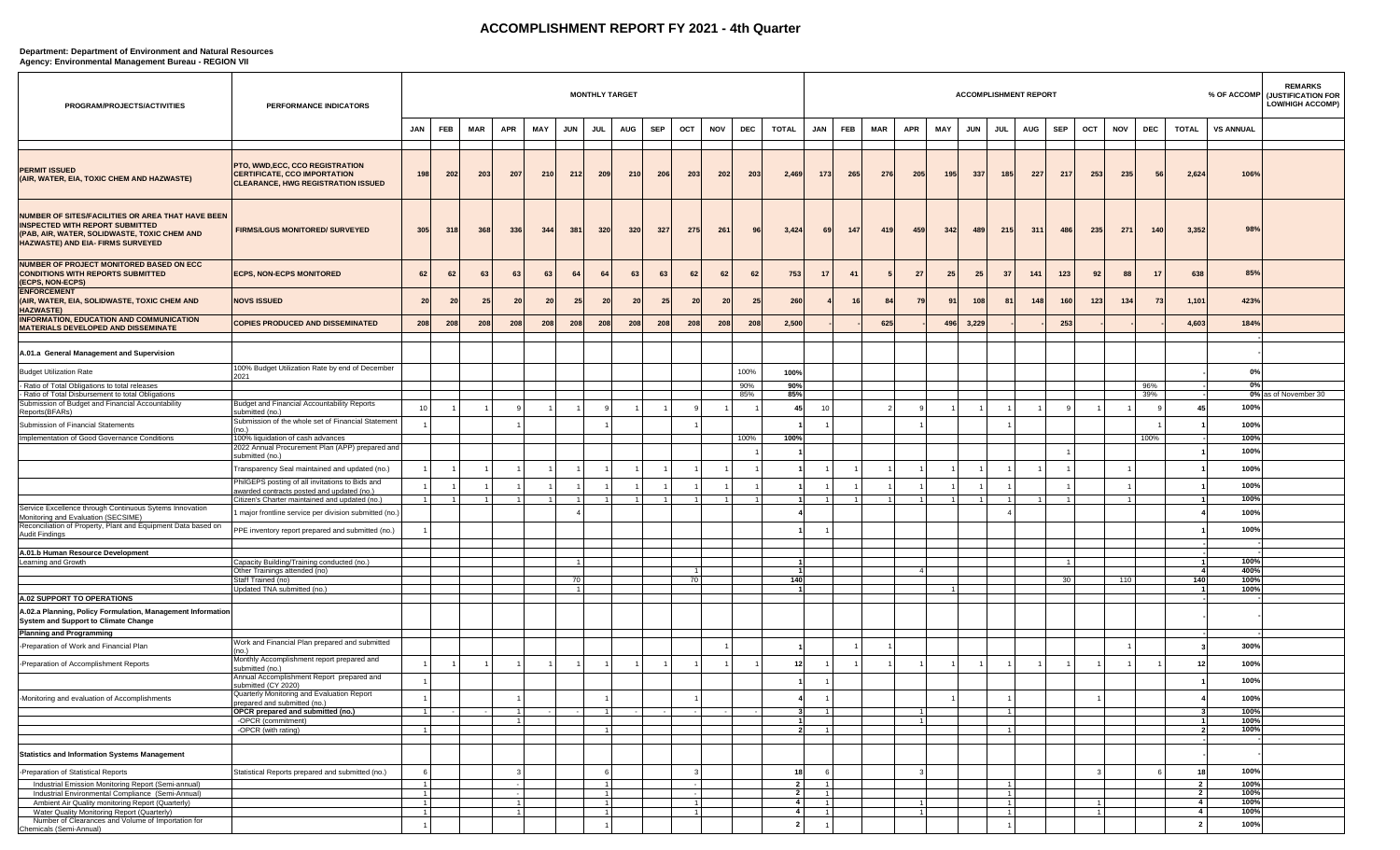## **ACCOMPLISHMENT REPORT FY 2021 - 4th Quarter**

## **Department: Department of Environment and Natural Resources Agency: Environmental Management Bureau - REGION VII**

| PROGRAM/PROJECTS/ACTIVITIES                                                                                                                                                      | PERFORMANCE INDICATORS                                                                                       |                       |                |            |                |                 |                |                 | <b>MONTHLY TARGET</b> |            |                           |            |      |                                           |                                  |                |                |                |                | <b>ACCOMPLISHMENT REPORT</b> |                           |            |                |     |                |            |                         |                  | <b>REMARKS</b><br>% OF ACCOMP (JUSTIFICATION FOR<br><b>LOW/HIGH ACCOMP)</b> |
|----------------------------------------------------------------------------------------------------------------------------------------------------------------------------------|--------------------------------------------------------------------------------------------------------------|-----------------------|----------------|------------|----------------|-----------------|----------------|-----------------|-----------------------|------------|---------------------------|------------|------|-------------------------------------------|----------------------------------|----------------|----------------|----------------|----------------|------------------------------|---------------------------|------------|----------------|-----|----------------|------------|-------------------------|------------------|-----------------------------------------------------------------------------|
|                                                                                                                                                                                  |                                                                                                              | <b>JAN</b>            | FEB            | <b>MAR</b> | APR            | MAY             | <b>JUN</b>     | JUL             | AUG                   | <b>SEP</b> | OCT                       | <b>NOV</b> | DEC  | <b>TOTAL</b>                              | JAN                              | <b>FEB</b>     | <b>MAR</b>     | <b>APR</b>     | MAY            | <b>JUN</b>                   | <b>JUL</b>                | <b>AUG</b> | SEP            | OCT | <b>NOV</b>     | <b>DEC</b> | <b>TOTAL</b>            | <b>VS ANNUAL</b> |                                                                             |
|                                                                                                                                                                                  |                                                                                                              |                       |                |            |                |                 |                |                 |                       |            |                           |            |      |                                           |                                  |                |                |                |                |                              |                           |            |                |     |                |            |                         |                  |                                                                             |
| <b>PERMIT ISSUED</b><br>(AIR, WATER, EIA, TOXIC CHEM AND HAZWASTE)                                                                                                               | PTO, WWD, ECC, CCO REGISTRATION<br>CERTIFICATE, CCO IMPORTATION<br><b>CLEARANCE, HWG REGISTRATION ISSUED</b> | 198                   | 202            | 203        | 207            | 210             | 212            | 209             | 210                   | 206        | 203                       | 202        | 203  | 2,469                                     | 173                              | 265            | 276            | 205            | 195            | 337                          | 185                       | 227        | 217            | 253 | 235            | 56         | 2,624                   | 106%             |                                                                             |
| NUMBER OF SITES/FACILITIES OR AREA THAT HAVE BEEN<br><b>INSPECTED WITH REPORT SUBMITTED</b><br>(PAB, AIR, WATER, SOLIDWASTE, TOXIC CHEM AND<br>HAZWASTE) AND EIA- FIRMS SURVEYED | <b>FIRMS/LGUS MONITORED/ SURVEYED</b>                                                                        | 305                   | 318            | 368        | 336            | 344             | 381            | 320             | 320                   | 327        | 275                       | 261        | 96   | 3,424                                     | 69                               | 147            | 419            | 459            | 342            | 489                          | 215                       | 311        | 486            | 235 | 271            | 140        | 3,352                   | 98%              |                                                                             |
| NUMBER OF PROJECT MONITORED BASED ON ECC<br><b>CONDITIONS WITH REPORTS SUBMITTED</b><br>(ECPS, NON-ECPS)                                                                         | <b>ECPS, NON-ECPS MONITORED</b>                                                                              | 62                    | 62             | 63         | 63             | 63              | 64             | 64              | 63                    | 63         | 62                        | 62         | 62   | 753                                       | 17                               | 41             | 5              | 27             | 25             | 25                           | 37                        | 141        | 123            | 92  | 88             | 17         | 638                     | 85%              |                                                                             |
| <b>ENFORCEMENT</b><br>(AIR, WATER, EIA, SOLIDWASTE, TOXIC CHEM AND<br><b>HAZWASTE)</b>                                                                                           | <b>NOVS ISSUED</b>                                                                                           | 20 <sub>1</sub>       | 20             | 25         | 20             | 20 <sup>1</sup> | 25             | 20 <sub>1</sub> | 20 <sub>1</sub>       | 25         | 20 <sub>l</sub>           | 20         | 25   | 260                                       |                                  | 16             | 84             | 79             | 91             | 108                          | 81                        | 148        | 160            | 123 | $134$          | 73         | 1,101                   | 423%             |                                                                             |
| <b>INFORMATION, EDUCATION AND COMMUNICATION</b><br><b>MATERIALS DEVELOPED AND DISSEMINATE</b>                                                                                    | <b>COPIES PRODUCED AND DISSEMINATED</b>                                                                      | 208                   | 208            | 208        | 208            | 208             | 208            | 208             | 208                   | 208        | 208                       | 208        | 208  | 2,500                                     |                                  |                | 625            |                |                | 496 3,229                    |                           |            | 253            |     |                |            | 4,603                   | 184%             |                                                                             |
| A.01.a General Management and Supervision                                                                                                                                        |                                                                                                              |                       |                |            |                |                 |                |                 |                       |            |                           |            |      |                                           |                                  |                |                |                |                |                              |                           |            |                |     |                |            |                         |                  |                                                                             |
| <b>Budget Utilization Rate</b>                                                                                                                                                   | 100% Budget Utilization Rate by end of December                                                              |                       |                |            |                |                 |                |                 |                       |            |                           |            | 100% | 100%                                      |                                  |                |                |                |                |                              |                           |            |                |     |                |            |                         | 0%               |                                                                             |
| - Ratio of Total Obligations to total releases                                                                                                                                   | 2021                                                                                                         |                       |                |            |                |                 |                |                 |                       |            |                           |            | 90%  | 90%                                       |                                  |                |                |                |                |                              |                           |            |                |     |                | 96%        |                         | 0%               |                                                                             |
| - Ratio of Total Disbursement to total Obligations                                                                                                                               |                                                                                                              |                       |                |            |                |                 |                |                 |                       |            |                           |            | 85%  | 85%                                       |                                  |                |                |                |                |                              |                           |            |                |     |                | 39%        |                         |                  | 0% as of November 30                                                        |
| Submission of Budget and Financial Accountability<br>Reports(BFARs)                                                                                                              | Budget and Financial Accountability Reports<br><u>submitted (no.)</u>                                        | 10 <sup>1</sup>       |                |            | -9             |                 |                | -9              |                       |            | $\mathbf{q}$              |            |      | 45                                        | 10                               |                |                |                |                | $\overline{1}$               |                           |            | 9              |     |                | 9          | 45                      | 100%             |                                                                             |
| Submission of Financial Statements                                                                                                                                               | Submission of the whole set of Financial Statement<br>(no.)                                                  |                       |                |            |                |                 |                |                 |                       |            |                           |            |      |                                           |                                  |                |                |                |                |                              |                           |            |                |     |                |            |                         | 100%             |                                                                             |
| Implementation of Good Governance Conditions                                                                                                                                     | 100% liquidation of cash advances                                                                            |                       |                |            |                |                 |                |                 |                       |            |                           |            | 100% | 100%                                      |                                  |                |                |                |                |                              |                           |            |                |     |                | 100%       |                         | 100%             |                                                                             |
|                                                                                                                                                                                  | 2022 Annual Procurement Plan (APP) prepared and<br>submitted (no.)                                           |                       |                |            |                |                 |                |                 |                       |            |                           |            |      |                                           |                                  |                |                |                |                |                              |                           |            |                |     |                |            |                         | 100%             |                                                                             |
|                                                                                                                                                                                  | Transparency Seal maintained and updated (no.)                                                               |                       |                |            |                |                 |                |                 |                       |            |                           |            |      |                                           |                                  |                |                |                |                |                              |                           |            |                |     |                |            |                         | 100%             |                                                                             |
|                                                                                                                                                                                  | PhilGEPS posting of all invitations to Bids and                                                              |                       |                |            |                |                 |                |                 |                       |            |                           |            |      |                                           |                                  |                |                |                |                |                              |                           |            |                |     |                |            |                         | 100%             |                                                                             |
|                                                                                                                                                                                  | awarded contracts posted and updated (no.)<br>Citizen's Charter maintained and updated (no.)                 | 1                     | $\overline{1}$ | 11         | $\overline{1}$ | 1               | -11            | $1 \vert$       | 11                    | $1 \vert$  | 11                        | 11         | 11   | -1                                        | $\overline{1}$                   | $\overline{1}$ | 1 <sup>1</sup> | - 1            | 1              | $\overline{1}$               | $1 \vert$                 | 11         | 11             |     | $\overline{1}$ |            |                         | 100%             |                                                                             |
| Service Excellence through Continuous Sytems Innovation                                                                                                                          | 1 major frontline service per division submitted (no.)                                                       |                       |                |            |                |                 |                |                 |                       |            |                           |            |      |                                           |                                  |                |                |                |                |                              |                           |            |                |     |                |            |                         | 100%             |                                                                             |
| Monitoring and Evaluation (SECSIME)<br>Reconciliation of Property, Plant and Equipment Data based on                                                                             | PPE inventory report prepared and submitted (no.)                                                            |                       |                |            |                |                 |                |                 |                       |            |                           |            |      |                                           |                                  |                |                |                |                |                              |                           |            |                |     |                |            |                         | 100%             |                                                                             |
| <b>Audit Findings</b>                                                                                                                                                            |                                                                                                              |                       |                |            |                |                 |                |                 |                       |            |                           |            |      |                                           |                                  |                |                |                |                |                              |                           |            |                |     |                |            |                         |                  |                                                                             |
| A.01.b Human Resource Development                                                                                                                                                |                                                                                                              |                       |                |            |                |                 |                |                 |                       |            |                           |            |      |                                           |                                  |                |                |                |                |                              |                           |            |                |     |                |            |                         |                  |                                                                             |
| Learning and Growth                                                                                                                                                              | Capacity Building/Training conducted (no.)                                                                   |                       |                |            |                |                 | $\overline{1}$ |                 |                       |            |                           |            |      |                                           |                                  |                |                |                |                |                              |                           |            | $\overline{1}$ |     |                |            | $\overline{\mathbf{1}}$ | 100%<br>400%     |                                                                             |
|                                                                                                                                                                                  | Other Trainings attended (no)<br>Staff Trained (no)                                                          |                       |                |            |                |                 | 70             |                 |                       |            | $\mathbf{1}$<br><b>70</b> |            |      | 140                                       |                                  |                |                | $\overline{4}$ |                |                              |                           |            | 30             |     | 110            |            | 4<br>140                | 100%             |                                                                             |
|                                                                                                                                                                                  | Updated TNA submitted (no.)                                                                                  |                       |                |            |                |                 | $\overline{1}$ |                 |                       |            |                           |            |      |                                           |                                  |                |                |                | $\overline{1}$ |                              |                           |            |                |     |                |            |                         | 100%             |                                                                             |
| A.02 SUPPORT TO OPERATIONS                                                                                                                                                       |                                                                                                              |                       |                |            |                |                 |                |                 |                       |            |                           |            |      |                                           |                                  |                |                |                |                |                              |                           |            |                |     |                |            |                         |                  |                                                                             |
| A.02.a Planning, Policy Formulation, Management Information<br><b>System and Support to Climate Change</b>                                                                       |                                                                                                              |                       |                |            |                |                 |                |                 |                       |            |                           |            |      |                                           |                                  |                |                |                |                |                              |                           |            |                |     |                |            |                         |                  |                                                                             |
| <b>Planning and Programming</b>                                                                                                                                                  |                                                                                                              |                       |                |            |                |                 |                |                 |                       |            |                           |            |      |                                           |                                  |                |                |                |                |                              |                           |            |                |     |                |            |                         |                  |                                                                             |
| -Preparation of Work and Financial Plan                                                                                                                                          | Work and Financial Plan prepared and submitted<br>(no.)                                                      |                       |                |            |                |                 |                |                 |                       |            |                           |            |      |                                           |                                  |                |                |                |                |                              |                           |            |                |     |                |            |                         | 300%             |                                                                             |
| -Preparation of Accomplishment Reports                                                                                                                                           | Monthly Accomplishment report prepared and<br>submitted (no.                                                 |                       |                |            |                |                 |                | $\overline{1}$  |                       |            |                           |            |      | 12                                        |                                  |                |                |                |                | $\overline{1}$               |                           |            | $\overline{1}$ |     |                |            | 12                      | 100%             |                                                                             |
|                                                                                                                                                                                  | Annual Accomplishment Report prepared and                                                                    |                       |                |            |                |                 |                |                 |                       |            |                           |            |      |                                           |                                  |                |                |                |                |                              |                           |            |                |     |                |            |                         | 100%             |                                                                             |
| -Monitoring and evaluation of Accomplishments                                                                                                                                    | submitted (CY 2020)<br>Quarterly Monitoring and Evaluation Report                                            | $1 \mid$              |                |            |                |                 |                | $\overline{1}$  |                       |            |                           |            |      | 4                                         | $\overline{1}$                   |                |                |                |                |                              |                           |            |                |     |                |            | $\overline{\mathbf{4}}$ | 100%             |                                                                             |
|                                                                                                                                                                                  | prepared and submitted (no.)<br>OPCR prepared and submitted (no.)                                            | 1                     |                |            | $\overline{1}$ |                 |                | $1 \vert$       | $\sim$                |            | $\sim$                    |            |      | 3                                         | $\overline{1}$                   |                |                |                |                |                              | $\mathbf{1}$              |            |                |     |                |            | $\mathbf{3}$            | 100%             |                                                                             |
|                                                                                                                                                                                  | -OPCR (commitment)                                                                                           | $\overline{1}$        |                |            | $\overline{1}$ |                 |                | $\overline{1}$  |                       |            |                           |            |      | -1<br>$\mathbf{z}$                        | $\overline{1}$                   |                |                | $\overline{1}$ |                |                              | $\mathbf{1}$              |            |                |     |                |            | $\overline{1}$          | 100%<br>100%     |                                                                             |
|                                                                                                                                                                                  | -OPCR (with rating)                                                                                          |                       |                |            |                |                 |                |                 |                       |            |                           |            |      |                                           |                                  |                |                |                |                |                              |                           |            |                |     |                |            |                         |                  |                                                                             |
| <b>Statistics and Information Systems Management</b>                                                                                                                             |                                                                                                              |                       |                |            |                |                 |                |                 |                       |            |                           |            |      |                                           |                                  |                |                |                |                |                              |                           |            |                |     |                |            |                         |                  |                                                                             |
| -Preparation of Statistical Reports                                                                                                                                              | Statistical Reports prepared and submitted (no.)                                                             | $6 \mid$              |                |            | $\mathbf{B}$   |                 |                | 6               |                       |            | $\overline{\mathbf{3}}$   |            |      | 18                                        | - 6                              |                |                |                |                |                              |                           |            |                |     |                | 6          | 18                      | 100%             |                                                                             |
| Industrial Emission Monitoring Report (Semi-annual)                                                                                                                              |                                                                                                              | $1 \mid$              |                |            |                |                 |                | $\overline{1}$  |                       |            | $\sim$                    |            |      | $\overline{2}$                            | $\overline{1}$                   |                |                |                |                |                              | 1                         |            |                |     |                |            | $\overline{2}$          | 100%             |                                                                             |
| Industrial Environmental Compliance (Semi-Annual)                                                                                                                                |                                                                                                              | $1 \mid$              |                |            |                |                 |                | 1               |                       |            | $\sim$                    |            |      | $\overline{\phantom{a}}$                  | $\overline{1}$                   |                |                |                |                |                              | - 11                      |            |                |     |                |            | $\overline{2}$          | 100%             |                                                                             |
| Ambient Air Quality monitoring Report (Quarterly)<br>Water Quality Monitoring Report (Quarterly)                                                                                 |                                                                                                              | $1 \mid$<br>$1 \vert$ |                |            | $\mathbf{1}$   |                 |                | 1<br>1          |                       |            | 1<br>1                    |            |      | $\overline{\mathbf{4}}$<br>$\overline{4}$ | $\overline{1}$<br>$\overline{1}$ |                |                |                |                |                              | $\mathbf{1}$<br>$1 \vert$ |            |                |     |                |            | $\overline{4}$<br>4     | 100%<br>100%     |                                                                             |
| Number of Clearances and Volume of Importation for<br>Chemicals (Semi-Annual)                                                                                                    |                                                                                                              |                       |                |            |                |                 |                |                 |                       |            |                           |            |      | -2                                        |                                  |                |                |                |                |                              |                           |            |                |     |                |            | $2^{\circ}$             | 100%             |                                                                             |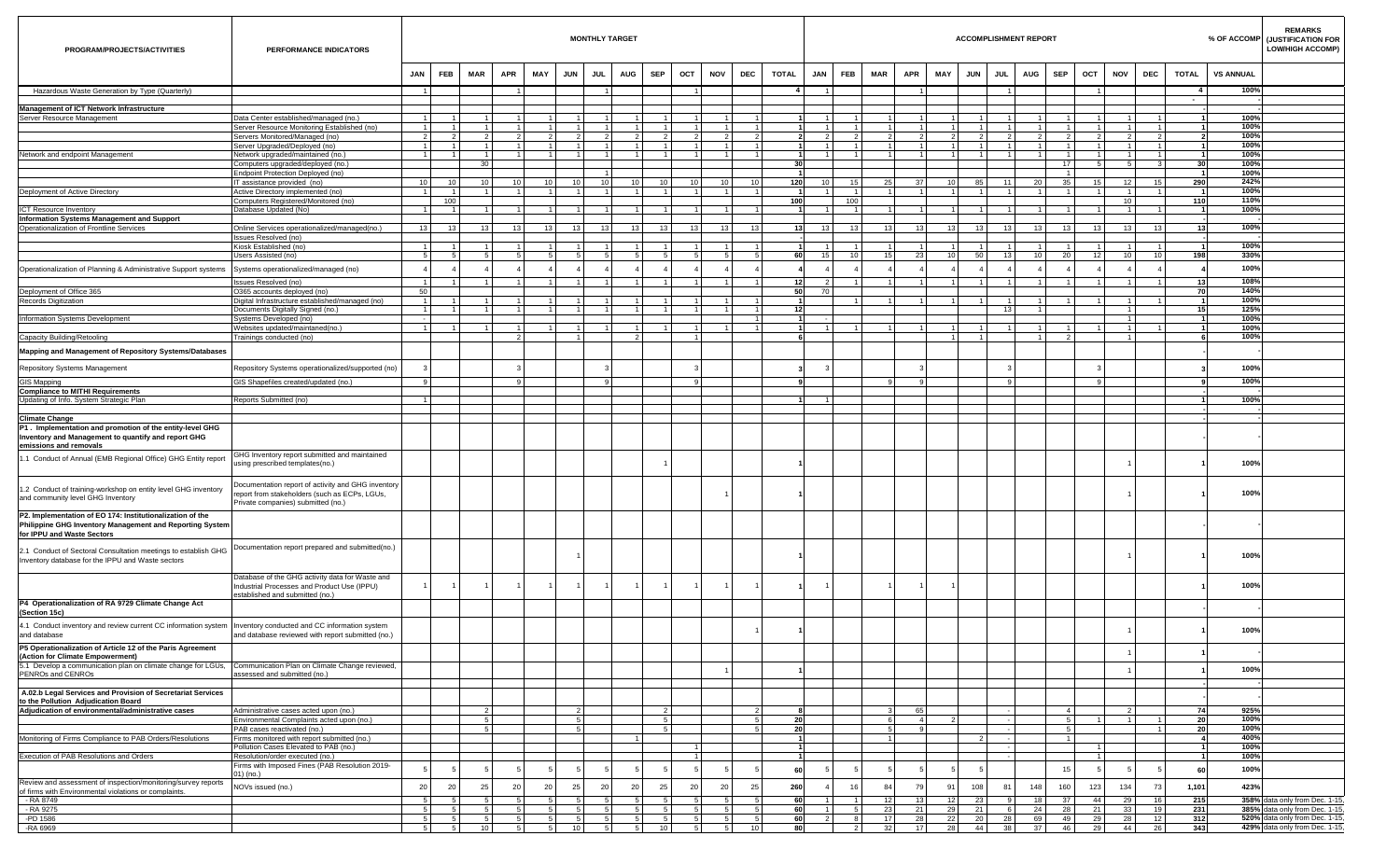| PROGRAM/PROJECTS/ACTIVITIES                                                                                                                                        | PERFORMANCE INDICATORS                                                                                                                    |                                   |                               |                                  |    |                                  |                                  | <b>MONTHLY TARGET</b>            |                |                                                              |                |                |                                  |          |                                  |                       |                     |                      |                                   |                                  |                                 | <b>ACCOMPLISHMENT REPORT</b> |                                   |                |            |                                   |              |                                                   | <b>REMARKS</b><br>% OF ACCOMP (JUSTIFICATION FOR<br><b>LOW/HIGH ACCOMP)</b> |
|--------------------------------------------------------------------------------------------------------------------------------------------------------------------|-------------------------------------------------------------------------------------------------------------------------------------------|-----------------------------------|-------------------------------|----------------------------------|----|----------------------------------|----------------------------------|----------------------------------|----------------|--------------------------------------------------------------|----------------|----------------|----------------------------------|----------|----------------------------------|-----------------------|---------------------|----------------------|-----------------------------------|----------------------------------|---------------------------------|------------------------------|-----------------------------------|----------------|------------|-----------------------------------|--------------|---------------------------------------------------|-----------------------------------------------------------------------------|
|                                                                                                                                                                    |                                                                                                                                           | <b>FEB</b><br>JAN                 | <b>MAR</b>                    | <b>APR</b>                       |    | MAY<br><b>JUN</b>                | JUL                              | <b>AUG</b>                       | <b>SEP</b>     | OCT                                                          | <b>NOV</b>     | DEC            | <b>TOTAL</b>                     | JAN      |                                  | <b>FEB</b>            | <b>MAR</b>          | <b>APR</b>           | MAY                               | <b>JUN</b>                       | <b>JUL</b>                      | <b>AUG</b>                   | <b>SEP</b>                        | OCT            | <b>NOV</b> | <b>DEC</b>                        | <b>TOTAL</b> | <b>VS ANNUAL</b>                                  |                                                                             |
| Hazardous Waste Generation by Type (Quarterly)                                                                                                                     |                                                                                                                                           | $\overline{1}$                    |                               |                                  |    |                                  |                                  |                                  |                |                                                              |                |                |                                  |          |                                  |                       |                     |                      |                                   |                                  |                                 |                              |                                   |                |            |                                   | $\sim$       | 100%                                              |                                                                             |
| Management of ICT Network Infrastructure                                                                                                                           |                                                                                                                                           |                                   |                               |                                  |    |                                  |                                  |                                  |                |                                                              |                |                |                                  |          |                                  |                       |                     |                      |                                   |                                  |                                 |                              |                                   |                |            |                                   |              |                                                   |                                                                             |
| Server Resource Management                                                                                                                                         | Data Center established/managed (no.)                                                                                                     | $\overline{1}$                    | 1<br>$\vert$ 1                | $\mathbf{1}$<br>$\vert$ 1        |    | $\overline{1}$<br>$\overline{1}$ | $\mathbf{1}$<br>$\overline{1}$   |                                  |                | $\mathbf{1}$<br>$\mathbf{1}$<br>$\mathbf{1}$<br>$\mathbf{1}$ |                |                | $\overline{1}$                   |          |                                  | $\overline{1}$        |                     |                      |                                   | $\overline{1}$<br>$\overline{1}$ |                                 |                              | 1<br>$\sim$                       |                |            |                                   |              | 100%                                              |                                                                             |
|                                                                                                                                                                    | Server Resource Monitoring Established (no)<br>Servers Monitored/Managed (no)                                                             | $\overline{1}$<br>$\overline{2}$  | $\overline{2}$                | $\overline{2}$                   |    | $\mathcal{L}$                    | $\overline{2}$                   | $\overline{1}$<br>$\mathfrak{p}$ |                | $\mathcal{P}$<br>$\mathcal{P}$                               |                |                | $\overline{1}$<br>2              |          | $\overline{1}$<br>$\mathcal{P}$  | $\overline{2}$        | $\mathbf{1}$        |                      | 1 <sup>1</sup><br>$\mathcal{P}$   | $\mathcal{L}$                    | $\overline{1}$<br>$\mathcal{P}$ |                              | $\overline{2}$                    |                |            | $\overline{1}$                    |              | 100%<br>100%                                      |                                                                             |
|                                                                                                                                                                    | Server Upgraded/Deployed (no)                                                                                                             | 1                                 | 1 <sup>1</sup>                | 1                                |    | $\overline{1}$                   | $\overline{1}$                   | $\overline{1}$<br>$\overline{1}$ |                | 1 <sup>1</sup>                                               | 1 <sup>1</sup> | $\mathbf{1}$   | $\vert$ 1                        |          | $\overline{1}$                   | $\overline{1}$        | 1                   | $\overline{1}$       | $1 \mid$                          | 1                                | $\overline{1}$                  |                              | 1 <sup>1</sup>                    | $\overline{1}$ |            | $\overline{1}$<br>-1              |              | 100%                                              |                                                                             |
| Vetwork and endpoint Management                                                                                                                                    | Network upgraded/maintained (no.)<br>Computers upgraded/deployed (no.)                                                                    | $\overline{1}$                    | $\overline{1}$                | 1<br>30 <sub>1</sub>             |    | $\overline{1}$                   | 1                                | $\overline{1}$                   |                | 1<br>$\mathbf{1}$                                            |                |                | $\vert$ 1                        | 30       | $\overline{1}$                   | $\overline{1}$        | 1                   | $\mathbf{1}$         | 11                                | $\overline{1}$                   | $\overline{1}$                  |                              | $\overline{1}$<br>17 <sup>1</sup> | 5              |            | -1<br>5 <sub>1</sub>              | $\mathbf{3}$ | 100%<br>100%<br>30 <sup>1</sup>                   |                                                                             |
|                                                                                                                                                                    | Endpoint Protection Deployed (no)                                                                                                         |                                   |                               |                                  |    |                                  |                                  |                                  |                |                                                              |                |                |                                  |          |                                  |                       |                     |                      |                                   |                                  |                                 |                              | $\overline{1}$                    |                |            |                                   |              | 100%                                              |                                                                             |
| Deployment of Active Directory                                                                                                                                     | IT assistance provided (no)<br>Active Directory implemented (no)                                                                          | 10 <sup>1</sup><br>$\overline{1}$ | 10<br>$\overline{1}$          | 10 <sub>1</sub><br>$1 \vert$     | 10 | 10 <sup>1</sup><br>$\vert$ 1     | 10 <sup>1</sup><br>$\vert$ 1     | 10<br>10<br>$\overline{1}$       |                | 10 <sup>1</sup><br>10 <sup>1</sup><br>1                      | 1 <sup>1</sup> | 10<br>10       | $\overline{1}$                   | 120      | 10                               | 15<br>$\overline{1}$  | 25<br>1             | 37<br>$\overline{1}$ | 10 <sup>1</sup><br>1 <sup>1</sup> | 85<br>$\overline{1}$             | 11<br>$\overline{1}$            | 20<br>$\overline{1}$         | 35<br>1 <sup>1</sup>              | 15             |            | 12<br>15                          | 290          | 242%<br>100%                                      |                                                                             |
| <b>ICT Resource Inventory</b>                                                                                                                                      | Computers Registered/Monitored (no)<br>Database Updated (No)                                                                              | $\overline{1}$                    | 100<br>$\overline{1}$         | 1 <sup>1</sup>                   |    | $\overline{1}$                   | $\overline{1}$                   | $\mathbf{1}$                     |                | $\overline{1}$<br>$\mathbf{1}$                               |                |                | $\overline{1}$                   | 100      |                                  | 100<br>$\overline{1}$ | 1 <sup>1</sup>      |                      | 11                                | $\overline{1}$                   |                                 |                              | $\overline{1}$                    |                |            | 10 <sup>1</sup><br>$\overline{1}$ | 110          | 110%<br>100%                                      |                                                                             |
| Information Systems Management and Support                                                                                                                         |                                                                                                                                           |                                   |                               |                                  |    |                                  |                                  |                                  |                |                                                              |                |                |                                  |          |                                  |                       |                     |                      |                                   |                                  |                                 |                              |                                   |                |            |                                   |              |                                                   |                                                                             |
| <b>Operationalization of Frontline Services</b>                                                                                                                    | Online Services operationalized/managed(no.)                                                                                              | 13                                | 13                            | 13                               | 13 | 13                               | 13                               | 13<br>13                         |                | 13 <sup>1</sup><br>13                                        | 13             | 13             |                                  | 13       | 13                               | 13                    | 13                  | 13                   | 13                                | 13                               | 13                              | 13                           | 13                                | 13             |            | 13<br>13                          |              | 100%<br>13                                        |                                                                             |
|                                                                                                                                                                    | Issues Resolved (no)<br>Kiosk Established (no)                                                                                            | $\overline{1}$                    | $\overline{1}$                | $\mathbf{1}$                     |    | $\overline{1}$                   |                                  |                                  |                | $\mathbf{1}$<br>1.                                           |                |                | $\overline{1}$                   |          |                                  |                       |                     |                      | 11                                |                                  |                                 |                              | $\blacktriangleleft$              |                |            | -1                                |              | 100%                                              |                                                                             |
|                                                                                                                                                                    | Users Assisted (no)                                                                                                                       | 5 <sub>1</sub>                    | -5                            | 5 <sub>1</sub>                   |    | -5                               | -5                               |                                  |                | -5<br>5                                                      |                |                | $5 \mid$                         | 60       | 15                               | 10 <sup>1</sup>       | 15 <sup>1</sup>     | 23                   | 10 <sup>1</sup>                   | 50                               | 13                              | 10 <sup>1</sup>              | 20 <sub>1</sub>                   | 12             |            | 10<br>10 <sup>1</sup>             | 198          | 330%                                              |                                                                             |
| Operationalization of Planning & Administrative Support systems                                                                                                    | Systems operationalized/managed (no)                                                                                                      | $\overline{4}$                    |                               |                                  |    |                                  |                                  |                                  |                |                                                              |                |                | $\mathbf{A}$                     |          |                                  |                       |                     |                      |                                   |                                  |                                 |                              |                                   |                |            |                                   |              | 100%                                              |                                                                             |
| Deployment of Office 365                                                                                                                                           | Issues Resolved (no)<br>O365 accounts deployed (no)                                                                                       | $\overline{1}$<br>50              | $\overline{1}$                | $\overline{1}$                   |    | $\vert$ 1                        |                                  | $\mathbf{1}$                     |                | $\mathbf{1}$                                                 |                |                | $\overline{1}$                   | 12<br>50 | $\overline{2}$<br>70             | $\overline{1}$        |                     |                      |                                   | $\overline{1}$                   |                                 |                              | $\overline{1}$                    |                |            | $\overline{1}$                    |              | 108%<br>13<br>140%<br>70                          |                                                                             |
| <b>Records Digitization</b>                                                                                                                                        | Digital Infrastructure established/managed (no)                                                                                           | $\overline{1}$                    | $\sim$                        | 1 <sup>1</sup>                   |    | $\overline{1}$                   |                                  |                                  |                | $\mathbf{1}$                                                 |                |                | $\overline{1}$                   |          |                                  |                       | $\overline{1}$      |                      | 1 <sup>1</sup>                    | $\overline{1}$                   |                                 |                              | 1                                 |                |            |                                   |              | 100%                                              |                                                                             |
| Information Systems Development                                                                                                                                    | Documents Digitally Signed (no.)<br>Systems Developed (no)                                                                                | $\overline{1}$<br>$\sim$          | $\mathbf{1}$                  | $\mathbf{1}$                     |    | $\overline{1}$                   |                                  |                                  |                | 1<br>1                                                       |                |                | $\vert$ 1<br>$\overline{1}$      | 12       |                                  |                       |                     |                      |                                   |                                  | 13                              |                              |                                   |                |            |                                   |              | 125%<br>15<br>100%                                |                                                                             |
|                                                                                                                                                                    | Websites updated/maintaned(no.)                                                                                                           | $\overline{1}$                    | $\overline{1}$                | $\overline{1}$                   |    | $\overline{1}$                   | $\overline{1}$                   |                                  |                | -1                                                           |                |                | $\overline{1}$                   |          | $\overline{1}$                   |                       |                     |                      |                                   | $\overline{1}$                   | $\mathbf{1}$                    |                              | $\mathbf{1}$                      |                |            |                                   |              | 100%                                              |                                                                             |
| Capacity Building/Retooling                                                                                                                                        | Trainings conducted (no)                                                                                                                  |                                   |                               |                                  |    |                                  | $\vert$ 1                        |                                  |                | $\mathbf{1}$                                                 |                |                |                                  |          |                                  |                       |                     |                      | 1                                 | $\overline{1}$                   |                                 |                              | $\overline{2}$                    |                |            |                                   |              | 100%                                              |                                                                             |
| Mapping and Management of Repository Systems/Databases                                                                                                             |                                                                                                                                           |                                   |                               |                                  |    |                                  |                                  |                                  |                |                                                              |                |                |                                  |          |                                  |                       |                     |                      |                                   |                                  |                                 |                              |                                   |                |            |                                   |              |                                                   |                                                                             |
| Repository Systems Management                                                                                                                                      | Repository Systems operationalized/supported (no)                                                                                         | -3                                |                               |                                  |    |                                  |                                  |                                  |                |                                                              |                |                |                                  |          |                                  |                       |                     |                      |                                   |                                  |                                 |                              |                                   |                |            |                                   |              | 100%                                              |                                                                             |
| GIS Mapping                                                                                                                                                        | GIS Shapefiles created/updated (no.)                                                                                                      | 9                                 |                               |                                  |    |                                  |                                  | $\alpha$                         |                | $\mathbf{Q}$                                                 |                |                |                                  |          |                                  |                       | $\alpha$            | $\alpha$             |                                   |                                  | $\alpha$                        |                              |                                   | $\alpha$       |            |                                   |              | 100%                                              |                                                                             |
| <b>Compliance to MITHI Requirements</b><br>Updating of Info. System Strategic Plan                                                                                 | Reports Submitted (no)                                                                                                                    | $\overline{1}$                    |                               |                                  |    |                                  |                                  |                                  |                |                                                              |                |                |                                  |          | $\overline{1}$                   |                       |                     |                      |                                   |                                  |                                 |                              |                                   |                |            |                                   |              | 100%                                              |                                                                             |
|                                                                                                                                                                    |                                                                                                                                           |                                   |                               |                                  |    |                                  |                                  |                                  |                |                                                              |                |                |                                  |          |                                  |                       |                     |                      |                                   |                                  |                                 |                              |                                   |                |            |                                   |              |                                                   |                                                                             |
| <b>Climate Change</b><br>P1. Implementation and promotion of the entity-level GHG<br>Inventory and Management to quantify and report GHG<br>emissions and removals |                                                                                                                                           |                                   |                               |                                  |    |                                  |                                  |                                  |                |                                                              |                |                |                                  |          |                                  |                       |                     |                      |                                   |                                  |                                 |                              |                                   |                |            |                                   |              |                                                   |                                                                             |
| 1.1 Conduct of Annual (EMB Regional Office) GHG Entity report                                                                                                      | GHG Inventory report submitted and maintained<br>using prescribed templates(no.)                                                          |                                   |                               |                                  |    |                                  |                                  |                                  |                |                                                              |                |                |                                  |          |                                  |                       |                     |                      |                                   |                                  |                                 |                              |                                   |                |            |                                   |              | 100%                                              |                                                                             |
| 1.2 Conduct of training-workshop on entity level GHG inventory<br>and community level GHG Inventory                                                                | Documentation report of activity and GHG inventory<br>report from stakeholders (such as ECPs, LGUs,<br>Private companies) submitted (no.) |                                   |                               |                                  |    |                                  |                                  |                                  |                |                                                              |                |                |                                  |          |                                  |                       |                     |                      |                                   |                                  |                                 |                              |                                   |                |            |                                   |              | 100%                                              |                                                                             |
| P2. Implementation of EO 174: Institutionalization of the<br>Philippine GHG Inventory Management and Reporting System<br>for IPPU and Waste Sectors                |                                                                                                                                           |                                   |                               |                                  |    |                                  |                                  |                                  |                |                                                              |                |                |                                  |          |                                  |                       |                     |                      |                                   |                                  |                                 |                              |                                   |                |            |                                   |              |                                                   |                                                                             |
| 2.1 Conduct of Sectoral Consultation meetings to establish GHG<br>Inventory database for the IPPU and Waste sectors                                                | Documentation report prepared and submitted(no.)                                                                                          |                                   |                               |                                  |    |                                  |                                  |                                  |                |                                                              |                |                |                                  |          |                                  |                       |                     |                      |                                   |                                  |                                 |                              |                                   |                |            |                                   |              | 100%                                              |                                                                             |
|                                                                                                                                                                    | Database of the GHG activity data for Waste and<br>Industrial Processes and Product Use (IPPU)<br>established and submitted (no.)         |                                   | $\overline{1}$                |                                  |    |                                  |                                  |                                  |                |                                                              |                |                |                                  |          |                                  |                       |                     |                      |                                   |                                  |                                 |                              |                                   |                |            |                                   |              | 100%                                              |                                                                             |
| P4 Operationalization of RA 9729 Climate Change Act<br>(Section 15c)                                                                                               |                                                                                                                                           |                                   |                               |                                  |    |                                  |                                  |                                  |                |                                                              |                |                |                                  |          |                                  |                       |                     |                      |                                   |                                  |                                 |                              |                                   |                |            |                                   |              |                                                   |                                                                             |
| 4.1 Conduct inventory and review current CC information system   Inventory conducted and CC information system<br>and database                                     | and database reviewed with report submitted (no.)                                                                                         |                                   |                               |                                  |    |                                  |                                  |                                  |                |                                                              |                |                |                                  |          |                                  |                       |                     |                      |                                   |                                  |                                 |                              |                                   |                |            |                                   |              | 100%                                              |                                                                             |
| P5 Operationalization of Article 12 of the Paris Agreement<br>(Action for Climate Empowerment)                                                                     |                                                                                                                                           |                                   |                               |                                  |    |                                  |                                  |                                  |                |                                                              |                |                |                                  |          |                                  |                       |                     |                      |                                   |                                  |                                 |                              |                                   |                |            |                                   |              |                                                   |                                                                             |
| 5.1 Develop a communication plan on climate change for LGUs, Communication Plan on Climate Change reviewed,<br>PENROs and CENROs                                   | assessed and submitted (no.)                                                                                                              |                                   |                               |                                  |    |                                  |                                  |                                  |                |                                                              |                |                |                                  |          |                                  |                       |                     |                      |                                   |                                  |                                 |                              |                                   |                |            |                                   |              | 100%                                              |                                                                             |
| A.02.b Legal Services and Provision of Secretariat Services                                                                                                        |                                                                                                                                           |                                   |                               |                                  |    |                                  |                                  |                                  |                |                                                              |                |                |                                  |          |                                  |                       |                     |                      |                                   |                                  |                                 |                              |                                   |                |            |                                   |              |                                                   |                                                                             |
| to the Pollution Adjudication Board                                                                                                                                |                                                                                                                                           |                                   |                               |                                  |    |                                  |                                  |                                  |                |                                                              |                |                |                                  |          |                                  |                       |                     |                      |                                   |                                  |                                 |                              |                                   |                |            |                                   |              |                                                   |                                                                             |
| Adjudication of environmental/administrative cases                                                                                                                 | Administrative cases acted upon (no.)<br>Environmental Complaints acted upon (no.)                                                        |                                   |                               | $\overline{2}$<br>5 <sup>1</sup> |    |                                  | $\overline{2}$<br>5 <sup>5</sup> |                                  |                | $\overline{2}$<br>5 <sup>1</sup>                             |                |                | $\mathcal{P}$<br>5               | 20       |                                  |                       | $\mathbf{3}$<br>6   | 65<br>$\overline{4}$ | $\overline{2}$                    |                                  |                                 |                              | $\overline{a}$<br>5 <sup>1</sup>  |                |            | $\overline{1}$<br>$\overline{1}$  |              | 925%<br>74<br>100%<br>20                          |                                                                             |
| Monitoring of Firms Compliance to PAB Orders/Resolutions                                                                                                           | PAB cases reactivated (no.)<br>Firms monitored with report submitted (no.)                                                                |                                   |                               | -5                               |    |                                  | 5                                |                                  |                | 5                                                            |                |                | 5                                | 20       |                                  |                       | 5 <sub>1</sub><br>1 | 9                    |                                   | $\overline{2}$                   |                                 |                              | 5 <sup>1</sup><br>11              |                |            |                                   |              | 100%<br>20 <sub>l</sub><br>400%<br>$\overline{4}$ |                                                                             |
|                                                                                                                                                                    | Pollution Cases Elevated to PAB (no.)                                                                                                     |                                   |                               |                                  |    |                                  |                                  |                                  |                |                                                              |                |                |                                  |          |                                  |                       |                     |                      |                                   |                                  |                                 |                              |                                   |                |            |                                   |              | 100%                                              |                                                                             |
| Execution of PAB Resolutions and Orders                                                                                                                            | Resolution/order executed (no.)<br>Firms with Imposed Fines (PAB Resolution 2019-                                                         |                                   |                               |                                  |    |                                  |                                  |                                  |                |                                                              |                |                |                                  |          |                                  |                       |                     |                      |                                   |                                  |                                 |                              |                                   |                |            |                                   |              | 100%                                              |                                                                             |
|                                                                                                                                                                    | 01) (no.)                                                                                                                                 | -5                                | 5                             |                                  |    |                                  | -5                               |                                  |                | 5                                                            |                |                | -5                               | 60       |                                  | -5                    |                     |                      |                                   | - 5                              |                                 |                              | 15                                |                |            |                                   |              | 100%<br>60                                        |                                                                             |
| Review and assessment of inspection/monitoring/survey reports<br>of firms with Environmental violations or complaints.                                             | NOVs issued (no.)                                                                                                                         | 20                                | 20                            | 25                               | 20 | 20                               | 25                               | 20<br>20                         |                | 20<br>25                                                     | - 20           | 25             |                                  | 260      |                                  | 16                    | 84                  | 79                   | 91                                | 108                              | 81                              | 148                          | 160                               | 123            | 134        | 73                                | 1,101        | 423%                                              |                                                                             |
| - RA 8749                                                                                                                                                          |                                                                                                                                           | 5                                 | -5                            | -5                               |    | -5                               | -5                               | 5                                |                | 5<br>5                                                       |                |                | 5                                | 60       |                                  |                       | 12                  | 13                   | 12 <sub>1</sub>                   | 23                               | -9                              | 18                           | 37 <sup>1</sup>                   | 44             |            | 16<br>29                          | 215          |                                                   | 358% data only from Dec. 1-15,                                              |
| - RA 9275<br>-PD 1586                                                                                                                                              |                                                                                                                                           | 5 <sub>1</sub><br>5               | 5 <sub>1</sub><br>$5^{\circ}$ | 5 <sub>1</sub><br>5 <sub>1</sub> |    | 5 <sub>5</sub><br>$5^{\circ}$    | 5 <sup>1</sup><br>5              | 5 <sup>5</sup><br>$-5$<br>5      | $\sqrt{2}$     | 5 <sup>5</sup><br>5 <sup>1</sup><br>5 <sup>1</sup><br>5      |                | -5<br>$5 -$    | 5 <sub>1</sub><br>5 <sub>5</sub> | 60<br>60 | 1 <sup>1</sup><br>2 <sup>1</sup> | 5 <sup>1</sup><br>8   | 23<br>17            | 21                   | 29                                | 21                               | 6                               | $24 \mid$                    | 28<br>49                          | 21             |            | 33<br>19                          | 231<br>12    |                                                   | 385% data only from Dec. 1-15,<br>520% data only from Dec. 1-15,            |
| -RA 6969                                                                                                                                                           |                                                                                                                                           | 5 <sub>5</sub>                    | 5 <sup>1</sup>                | 10                               |    | 5 <sub>5</sub>                   | 10                               | 5 <sup>1</sup>                   | 5 <sub>1</sub> | 10 <sup>1</sup>                                              | 5 <sup>1</sup> | 5 <sub>1</sub> | 10 <sup>1</sup>                  | 80       |                                  | $\overline{2}$        | 32                  | 28<br>17             | 22<br>28                          | 20<br>44                         | 28<br>38                        | 69<br>37                     | 46                                | 29<br>29       |            | 28<br>26<br>44                    | 312<br>343   |                                                   | 429% data only from Dec. 1-15,                                              |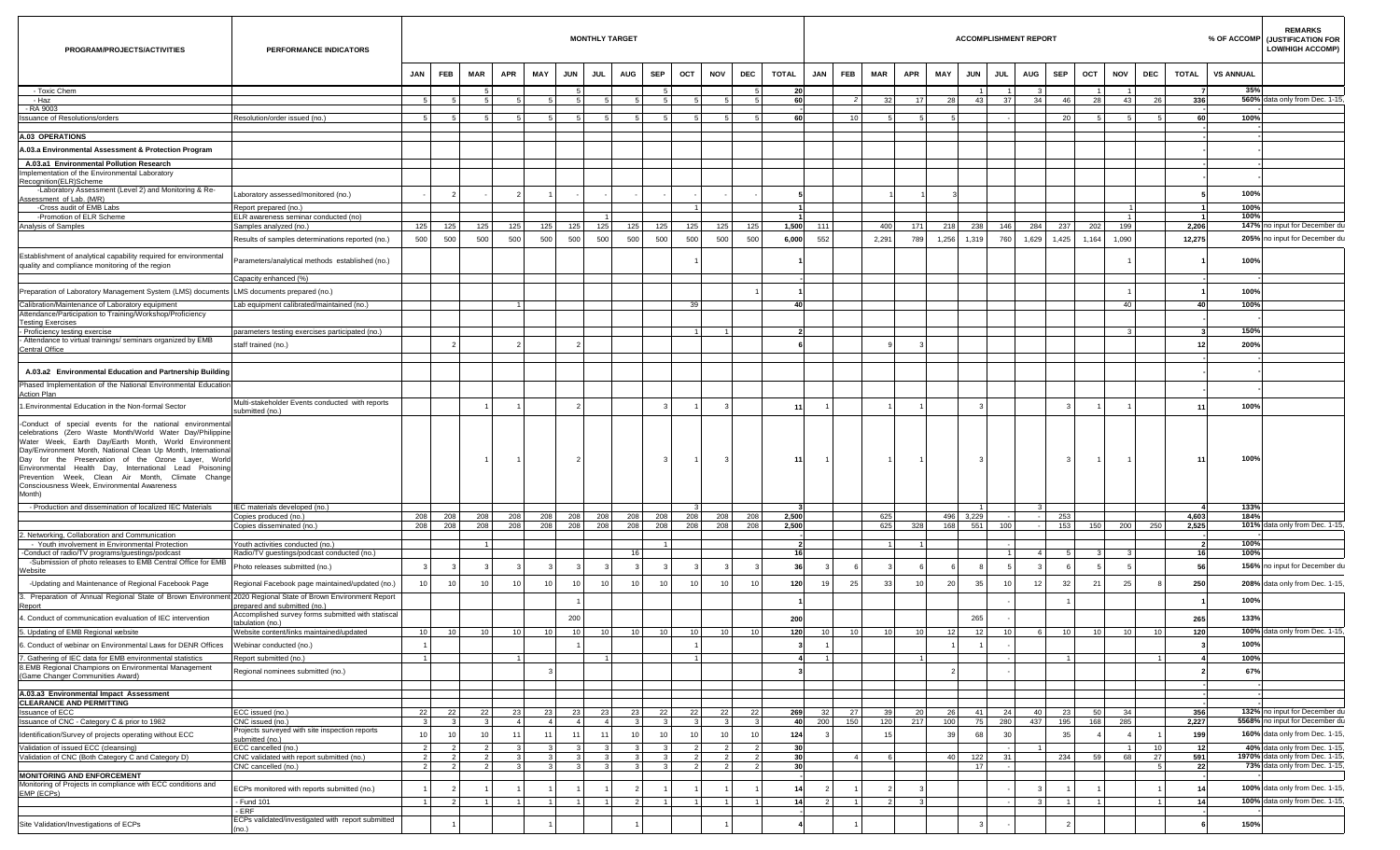| PROGRAM/PROJECTS/ACTIVITIES                                                                                                                                                                                                                                                                                                                                                                                     | PERFORMANCE INDICATORS                                             |                                  |                                  |                 |                      |                      |                             | <b>MONTHLY TARGET</b> |                      |                      |                             |                                                         |                             |                |                        |                 |            |                 |            |                 | <b>ACCOMPLISHMENT REPORT</b> |                |                |     |                      |                        |                       |                  | <b>REMARKS</b><br>% OF ACCOMP<br>(JUSTIFICATION FOR<br><b>LOW/HIGH ACCOMP)</b> |
|-----------------------------------------------------------------------------------------------------------------------------------------------------------------------------------------------------------------------------------------------------------------------------------------------------------------------------------------------------------------------------------------------------------------|--------------------------------------------------------------------|----------------------------------|----------------------------------|-----------------|----------------------|----------------------|-----------------------------|-----------------------|----------------------|----------------------|-----------------------------|---------------------------------------------------------|-----------------------------|----------------|------------------------|-----------------|------------|-----------------|------------|-----------------|------------------------------|----------------|----------------|-----|----------------------|------------------------|-----------------------|------------------|--------------------------------------------------------------------------------|
|                                                                                                                                                                                                                                                                                                                                                                                                                 |                                                                    | JAN<br>FEB                       |                                  | MAR             | APR                  | MAY                  | <b>JUN</b>                  | JUL                   | <b>AUG</b>           | SEP                  | OCT                         | NOV                                                     | DEC                         | TOTAL          | <b>JAN</b>             | <b>FEB</b>      | MAR        | <b>APR</b>      | MAY        | <b>JUN</b>      | JUL                          | <b>AUG</b>     | SEP            | ост |                      | NOV                    | DEC                   | TOTAL            | <b>VS ANNUAL</b>                                                               |
| - Toxic Chem<br>- Haz                                                                                                                                                                                                                                                                                                                                                                                           |                                                                    | 5                                | - 5                              |                 | -5                   |                      |                             | 5                     | -5                   | -5                   |                             | 5<br>-5                                                 | -5<br>5                     | 20<br>60       |                        | 2 <sup>1</sup>  | 32         | 17 <sup>1</sup> | 28         | -1<br>43        | 37                           | 34             | 46             |     | $\blacksquare$<br>28 | $\mathbf{1}$<br>43     | - 26                  | 336              | 35%<br>560% data only from Dec. 1-15,                                          |
| - RA 9003                                                                                                                                                                                                                                                                                                                                                                                                       |                                                                    |                                  |                                  |                 |                      |                      |                             |                       |                      |                      |                             |                                                         |                             |                |                        |                 |            |                 |            |                 |                              |                |                |     |                      |                        |                       |                  |                                                                                |
| <b>Issuance of Resolutions/orders</b>                                                                                                                                                                                                                                                                                                                                                                           | Resolution/order issued (no.)                                      | -5.                              | -51                              |                 | -51                  |                      | 5                           | -51                   | -51                  | -51                  | -51                         | -51                                                     | -51                         |                | 60                     | 10 <sup>1</sup> |            | -51             |            |                 |                              |                | 20             |     | - 51                 | -51                    |                       | 60               | 100%                                                                           |
| A.03 OPERATIONS                                                                                                                                                                                                                                                                                                                                                                                                 |                                                                    |                                  |                                  |                 |                      |                      |                             |                       |                      |                      |                             |                                                         |                             |                |                        |                 |            |                 |            |                 |                              |                |                |     |                      |                        |                       |                  |                                                                                |
| A.03.a Environmental Assessment & Protection Program                                                                                                                                                                                                                                                                                                                                                            |                                                                    |                                  |                                  |                 |                      |                      |                             |                       |                      |                      |                             |                                                         |                             |                |                        |                 |            |                 |            |                 |                              |                |                |     |                      |                        |                       |                  |                                                                                |
| A.03.a1 Environmental Pollution Research<br>Implementation of the Environmental Laboratory                                                                                                                                                                                                                                                                                                                      |                                                                    |                                  |                                  |                 |                      |                      |                             |                       |                      |                      |                             |                                                         |                             |                |                        |                 |            |                 |            |                 |                              |                |                |     |                      |                        |                       |                  |                                                                                |
| Recognition(ELR)Scheme<br>-Laboratory Assessment (Level 2) and Monitoring & Re-                                                                                                                                                                                                                                                                                                                                 | Laboratory assessed/monitored (no.)                                |                                  | $\overline{2}$                   |                 |                      |                      |                             |                       |                      |                      |                             |                                                         |                             |                |                        |                 |            |                 |            |                 |                              |                |                |     |                      |                        |                       |                  | 100%                                                                           |
| Assessment of Lab. (M/R)<br>-Cross audit of EMB Labs                                                                                                                                                                                                                                                                                                                                                            | Report prepared (no.)                                              |                                  |                                  |                 |                      |                      |                             |                       |                      |                      | $\mathbf{1}$                |                                                         |                             |                |                        |                 |            |                 |            |                 |                              |                |                |     |                      |                        |                       |                  | 100%                                                                           |
| -Promotion of ELR Scheme                                                                                                                                                                                                                                                                                                                                                                                        | ELR awareness seminar conducted (no)                               |                                  |                                  |                 |                      |                      |                             |                       |                      |                      |                             |                                                         |                             |                |                        |                 |            |                 |            |                 |                              |                |                |     |                      | $\overline{1}$         |                       | $\overline{1}$   | 100%                                                                           |
| Analysis of Samples                                                                                                                                                                                                                                                                                                                                                                                             | Samples analyzed (no.)                                             | 125                              | 125                              | 125             | 125                  | 125                  | 125                         | 125                   | 125                  | 125                  | 125                         | 125                                                     | 125                         | 1,500          | 111                    |                 | 400        | 171             | 218        | 238             | 146                          | 284            | 237            |     | 202                  | 199                    |                       | 2,206            | 147% no input for December du                                                  |
|                                                                                                                                                                                                                                                                                                                                                                                                                 | Results of samples determinations reported (no.)                   | 500                              | 500                              | 500             | 500                  | 500                  | 500                         | 500                   | 500                  | 500                  | 500                         | 500                                                     | 500                         | 6,000          | 552                    |                 | 2,291      | 789             | 1,256      | 1,319           | 760                          | 1,629          | 1,425          |     | 1,164                | 1,090                  |                       | 12,275           | 205% no input for December du                                                  |
| Establishment of analytical capability required for environmental<br>quality and compliance monitoring of the region                                                                                                                                                                                                                                                                                            | Parameters/analytical methods established (no.)                    |                                  |                                  |                 |                      |                      |                             |                       |                      |                      |                             |                                                         |                             |                |                        |                 |            |                 |            |                 |                              |                |                |     |                      |                        |                       |                  | 100%                                                                           |
|                                                                                                                                                                                                                                                                                                                                                                                                                 | Capacity enhanced (%)                                              |                                  |                                  |                 |                      |                      |                             |                       |                      |                      |                             |                                                         |                             |                |                        |                 |            |                 |            |                 |                              |                |                |     |                      |                        |                       |                  |                                                                                |
| Preparation of Laboratory Management System (LMS) documents LMS documents prepared (no.)                                                                                                                                                                                                                                                                                                                        |                                                                    |                                  |                                  |                 |                      |                      |                             |                       |                      |                      |                             |                                                         |                             |                |                        |                 |            |                 |            |                 |                              |                |                |     |                      |                        |                       |                  | 100%                                                                           |
| Calibration/Maintenance of Laboratory equipment                                                                                                                                                                                                                                                                                                                                                                 | Lab equipment calibrated/maintained (no.)                          |                                  |                                  |                 | $1 \vert$            |                      |                             |                       |                      |                      | 39 <sup>1</sup>             |                                                         |                             |                | 40                     |                 |            |                 |            |                 |                              |                |                |     |                      | 40                     |                       | 40               | 100%                                                                           |
| Attendance/Participation to Training/Workshop/Proficiency<br><b>Testing Exercises</b>                                                                                                                                                                                                                                                                                                                           |                                                                    |                                  |                                  |                 |                      |                      |                             |                       |                      |                      |                             |                                                         |                             |                |                        |                 |            |                 |            |                 |                              |                |                |     |                      |                        |                       |                  |                                                                                |
| - Proficiency testing exercise                                                                                                                                                                                                                                                                                                                                                                                  | parameters testing exercises participated (no.)                    |                                  |                                  |                 |                      |                      |                             |                       |                      |                      |                             | 11<br>$\overline{1}$                                    |                             |                |                        |                 |            |                 |            |                 |                              |                |                |     |                      |                        |                       |                  | 150%                                                                           |
| - Attendance to virtual trainings/ seminars organized by EMB<br>Central Office                                                                                                                                                                                                                                                                                                                                  | staff trained (no.)                                                |                                  | 2                                |                 |                      |                      |                             |                       |                      |                      |                             |                                                         |                             |                |                        |                 |            |                 |            |                 |                              |                |                |     |                      |                        |                       | 12               | 200%                                                                           |
|                                                                                                                                                                                                                                                                                                                                                                                                                 |                                                                    |                                  |                                  |                 |                      |                      |                             |                       |                      |                      |                             |                                                         |                             |                |                        |                 |            |                 |            |                 |                              |                |                |     |                      |                        |                       |                  |                                                                                |
| A.03.a2 Environmental Education and Partnership Building                                                                                                                                                                                                                                                                                                                                                        |                                                                    |                                  |                                  |                 |                      |                      |                             |                       |                      |                      |                             |                                                         |                             |                |                        |                 |            |                 |            |                 |                              |                |                |     |                      |                        |                       |                  |                                                                                |
| Phased Implementation of the National Environmental Education                                                                                                                                                                                                                                                                                                                                                   |                                                                    |                                  |                                  |                 |                      |                      |                             |                       |                      |                      |                             |                                                         |                             |                |                        |                 |            |                 |            |                 |                              |                |                |     |                      |                        |                       |                  |                                                                                |
| <b>Action Plan</b><br>I.Environmental Education in the Non-formal Sector                                                                                                                                                                                                                                                                                                                                        | Multi-stakeholder Events conducted with reports<br>submitted (no.) |                                  |                                  |                 |                      |                      | $\overline{2}$              |                       |                      | -3                   |                             | $\mathbf{3}$                                            |                             | 11             |                        |                 |            |                 |            | $\mathbf{3}$    |                              |                |                |     |                      |                        |                       | 11               | 100%                                                                           |
| celebrations (Zero Waste Month/World Water Day/Philippine<br>Water Week, Earth Day/Earth Month, World Environment<br>Day/Environment Month, National Clean Up Month, International<br>Day for the Preservation of the Ozone Layer, World<br>Environmental Health Day, International Lead Poisoning<br>Prevention Week, Clean Air Month, Climate Change<br>Consciousness Week, Environmental Awareness<br>Month) |                                                                    |                                  |                                  |                 |                      |                      | $\overline{2}$              |                       |                      | -3                   | 11                          | $\mathbf{3}$                                            |                             | $111$          | $\overline{1}$         |                 |            |                 |            | $\mathbf{3}$    |                              |                |                |     | $\overline{1}$       | $\overline{1}$         |                       | 11               | 100%                                                                           |
| - Production and dissemination of localized IEC Materials                                                                                                                                                                                                                                                                                                                                                       | IEC materials developed (no.)                                      |                                  |                                  |                 |                      |                      |                             |                       |                      |                      |                             |                                                         |                             |                |                        |                 |            |                 |            | -1              |                              |                |                |     |                      |                        |                       | -4               | 133%                                                                           |
|                                                                                                                                                                                                                                                                                                                                                                                                                 | Copies produced (no.)<br>Copies disseminated (no.)                 | 208<br>208                       | 208<br>208                       | 208<br>208      | 208<br>208           | 208<br>208           | 208<br>208                  | 208<br>208            |                      | 208 208<br>208 208   | 208                         | 208<br>208 208                                          | 208<br>208                  | 2,500<br>2,500 |                        |                 | 625<br>625 | 328             | 496<br>168 | 3,229<br>551    | 100                          |                | 253<br>153     |     | 150                  | 200                    | 250                   | 4,603<br>2,525   | 184%<br>101% data only from Dec. 1-15                                          |
| 2. Networking, Collaboration and Communication                                                                                                                                                                                                                                                                                                                                                                  |                                                                    |                                  |                                  |                 |                      |                      |                             |                       |                      |                      |                             |                                                         |                             |                |                        |                 |            |                 |            |                 |                              |                |                |     |                      |                        |                       |                  |                                                                                |
| - Youth involvement in Environmental Protection                                                                                                                                                                                                                                                                                                                                                                 | Youth activities conducted (no.)                                   |                                  |                                  |                 |                      |                      |                             |                       |                      |                      |                             |                                                         |                             |                |                        |                 |            |                 |            |                 |                              |                |                |     |                      |                        |                       |                  | 100%                                                                           |
| -Conduct of radio/TV programs/guestings/podcast<br>-Submission of photo releases to EMB Central Office for EMB                                                                                                                                                                                                                                                                                                  | Radio/TV guestings/podcast conducted (no.)                         |                                  |                                  |                 |                      |                      |                             |                       | 16                   |                      |                             |                                                         |                             | 16             |                        |                 |            |                 |            |                 | $\overline{1}$               | $\overline{a}$ | -5.1           |     | -3                   | -3                     |                       | 16               | 100%                                                                           |
| Website                                                                                                                                                                                                                                                                                                                                                                                                         | Photo releases submitted (no.)                                     | - 3                              | 3                                |                 |                      | 3                    | -3                          | 3                     |                      | -3                   |                             | -3                                                      | -3                          | 36             |                        | - 6             |            |                 |            | 8               | 5                            |                |                |     |                      |                        |                       | 56               | 156% no input for December du                                                  |
| -Updating and Maintenance of Regional Facebook Page                                                                                                                                                                                                                                                                                                                                                             | Regional Facebook page maintained/updated (no.)                    | 10                               | 10 <sup>1</sup>                  | 10              | 10                   | 10 <sup>1</sup>      | 10                          | 10                    | 10                   | 10                   | 10 <sup>1</sup>             | 10                                                      | 10                          | 120            | 19                     | 25              | 33         | 10              | 20         | 35              | 10                           | 12             | 32             |     | 21                   | 25                     |                       | 250              | 208% data only from Dec. 1-15,                                                 |
| 3. Preparation of Annual Regional State of Brown Environment 2020 Regional State of Brown Environment Report<br>Report                                                                                                                                                                                                                                                                                          | repared and submitted (no.)                                        |                                  |                                  |                 |                      |                      |                             |                       |                      |                      |                             |                                                         |                             |                |                        |                 |            |                 |            |                 |                              |                |                |     |                      |                        |                       |                  | 100%                                                                           |
| 4. Conduct of communication evaluation of IEC intervention                                                                                                                                                                                                                                                                                                                                                      | Accomplished survey forms submitted with statiscal                 |                                  |                                  |                 |                      |                      | 200                         |                       |                      |                      |                             |                                                         |                             | 200            |                        |                 |            |                 |            | 265             |                              |                |                |     |                      |                        |                       | 265              | 133%                                                                           |
| 5. Updating of EMB Regional website                                                                                                                                                                                                                                                                                                                                                                             | tabulation (no.)<br>Website content/links maintained/updated       | 10 <sup>1</sup>                  | 10                               | 10 <sup>1</sup> | 10 <sub>1</sub>      | 10                   | 10                          | 10                    | 10                   | 10                   | 10                          | 10                                                      | 10                          | 120            | 10                     | 10              | 10         | 10              | 12         | 12              | 10                           | 6              | 10             |     | 10                   | 10 <sup>1</sup>        | 10 <sup>1</sup>       | 120              | 100% data only from Dec. 1-15                                                  |
| 6. Conduct of webinar on Environmental Laws for DENR Offices                                                                                                                                                                                                                                                                                                                                                    | Webinar conducted (no.)                                            |                                  |                                  |                 |                      |                      |                             |                       |                      |                      |                             |                                                         |                             |                |                        |                 |            |                 |            | $\overline{1}$  |                              |                |                |     |                      |                        |                       |                  | 100%                                                                           |
| 7. Gathering of IEC data for EMB environmental statistics                                                                                                                                                                                                                                                                                                                                                       | Report submitted (no.)                                             | $\overline{1}$                   |                                  |                 | $\mathbf{1}$         |                      |                             | 1                     |                      |                      |                             | 1                                                       |                             |                | 11<br>$\frac{4}{ }$    |                 |            | 1 <sup>1</sup>  |            |                 |                              |                | $\overline{1}$ |     |                      |                        |                       | $\boldsymbol{A}$ | 100%                                                                           |
| 8.EMB Regional Champions on Environmental Management<br>(Game Changer Communities Award)                                                                                                                                                                                                                                                                                                                        | Regional nominees submitted (no.)                                  |                                  |                                  |                 |                      | $\mathbf{3}$         |                             |                       |                      |                      |                             |                                                         |                             |                |                        |                 |            |                 |            |                 |                              |                |                |     |                      |                        |                       |                  | 67%                                                                            |
| A.03.a3 Environmental Impact Assessment                                                                                                                                                                                                                                                                                                                                                                         |                                                                    |                                  |                                  |                 |                      |                      |                             |                       |                      |                      |                             |                                                         |                             |                |                        |                 |            |                 |            |                 |                              |                |                |     |                      |                        |                       |                  |                                                                                |
| <b>CLEARANCE AND PERMITTING</b>                                                                                                                                                                                                                                                                                                                                                                                 |                                                                    |                                  |                                  |                 |                      |                      |                             |                       |                      |                      |                             |                                                         |                             |                |                        |                 |            |                 |            |                 |                              |                |                |     |                      |                        |                       |                  |                                                                                |
| Issuance of ECC<br>Issuance of CNC - Category C & prior to 1982                                                                                                                                                                                                                                                                                                                                                 | ECC issued (no.)<br>CNC issued (no.)                               | - 22  <br>3 <sup>1</sup>         | $22 \mid$<br>3 <sup>1</sup>      | 22              | 23<br>4 <sup>1</sup> | 23<br>4 <sup>1</sup> | $23 \mid$<br>$\overline{a}$ | 23<br>4 <sup>1</sup>  | 23<br>3 <sup>1</sup> | 22<br>3 <sup>1</sup> | $22 \mid$<br>3 <sup>1</sup> | 22<br>3 <sup>1</sup>                                    | 22<br>3 <sup>1</sup>        | 269            | $32 \mid$<br>200<br>40 | 27<br>150       | 39<br>120  | 20 I<br>217     | 26<br>100  | 41  <br>75      | 24<br>280                    | 40<br>437      | 23<br>195      |     | 50<br>168            | 34<br>285              |                       | 356<br>2,227     | 132% no input for December du<br>5568% no input for December du                |
| Identification/Survey of projects operating without ECC                                                                                                                                                                                                                                                                                                                                                         | Projects surveyed with site inspection reports                     | 10                               | 10                               | 10              | 11                   | 11                   | 11                          | 11                    | 10 <sup>1</sup>      | 10                   | 10 <sup>1</sup>             | 10                                                      | 10                          | 124            |                        |                 | 15         |                 | 39         | 68              | 30                           |                | 35             |     |                      |                        |                       | 199              | 160% data only from Dec. 1-15,                                                 |
| Validation of issued ECC (cleansing)                                                                                                                                                                                                                                                                                                                                                                            | submitted (no.)                                                    |                                  |                                  |                 |                      |                      |                             |                       |                      |                      |                             |                                                         |                             | 30             |                        |                 |            |                 |            |                 |                              |                |                |     |                      |                        |                       |                  | 40% data only from Dec. 1-15,                                                  |
| Validation of CNC (Both Category C and Category D)                                                                                                                                                                                                                                                                                                                                                              | ECC cancelled (no.)<br>CNC validated with report submitted (no.)   | $\overline{2}$<br>$\overline{2}$ | $\overline{2}$<br>$\overline{2}$ |                 |                      |                      |                             | $\vert$ 3<br>3        |                      |                      |                             | $\overline{2}$<br>2 <sup>1</sup><br>2<br>$\overline{2}$ | $\vert$ 2<br>$\overline{2}$ | 30             |                        | $-4$            |            |                 | 40         | 122             | 31                           |                | 234            |     | 59                   | $\left  \right $<br>68 | 10 <sup>1</sup><br>27 | 12<br>591        | 1970% data only from Dec. 1-15,                                                |
|                                                                                                                                                                                                                                                                                                                                                                                                                 | CNC cancelled (no.)                                                | 2 <sub>1</sub>                   | 2 <sub>1</sub>                   | - 2             | 3 <sup>1</sup>       | 3                    | 3                           | 3 <sup>1</sup>        | - 3 I                | $\mathbf{3}$         |                             | $\overline{2}$<br>$\overline{2}$                        | 2 <sup>1</sup>              |                | 30                     |                 |            |                 |            | 17 <sup>1</sup> | $\sim$                       |                |                |     |                      |                        | 5 <sub>1</sub>        | 22               | 73% data only from Dec. 1-15,                                                  |
| <b>MONITORING AND ENFORCEMENT</b><br>Monitoring of Projects in compliance with ECC conditions and                                                                                                                                                                                                                                                                                                               |                                                                    |                                  |                                  |                 |                      |                      |                             |                       |                      |                      |                             |                                                         |                             |                |                        |                 |            |                 |            |                 |                              |                |                |     |                      |                        |                       |                  |                                                                                |
| EMP (ECPs)                                                                                                                                                                                                                                                                                                                                                                                                      | ECPs monitored with reports submitted (no.)                        |                                  | 2                                |                 |                      |                      |                             |                       |                      |                      |                             |                                                         |                             |                | 14                     |                 |            |                 |            |                 |                              |                |                |     |                      |                        |                       | 14               | 100% data only from Dec. 1-15,                                                 |
|                                                                                                                                                                                                                                                                                                                                                                                                                 | - Fund 101<br>- ERF                                                |                                  | $\overline{2}$                   |                 |                      |                      |                             | $\mathbf{1}$          | 2 <sup>1</sup>       |                      |                             | $\overline{1}$<br>1 <sup>1</sup>                        | $\overline{1}$              |                | 14<br>$\overline{2}$   | $\overline{1}$  |            |                 |            |                 |                              |                |                |     |                      |                        |                       | 14               | 100% data only from Dec. 1-15,                                                 |
| Site Validation/Investigations of ECPs                                                                                                                                                                                                                                                                                                                                                                          | ECPs validated/investigated with report submitted                  |                                  |                                  |                 |                      |                      |                             |                       |                      |                      |                             |                                                         |                             |                |                        |                 |            |                 |            |                 |                              |                |                |     |                      |                        |                       |                  | 150%                                                                           |
| (no.)                                                                                                                                                                                                                                                                                                                                                                                                           |                                                                    |                                  |                                  |                 |                      |                      |                             |                       |                      |                      |                             |                                                         |                             |                |                        |                 |            |                 |            |                 |                              |                |                |     |                      |                        |                       |                  |                                                                                |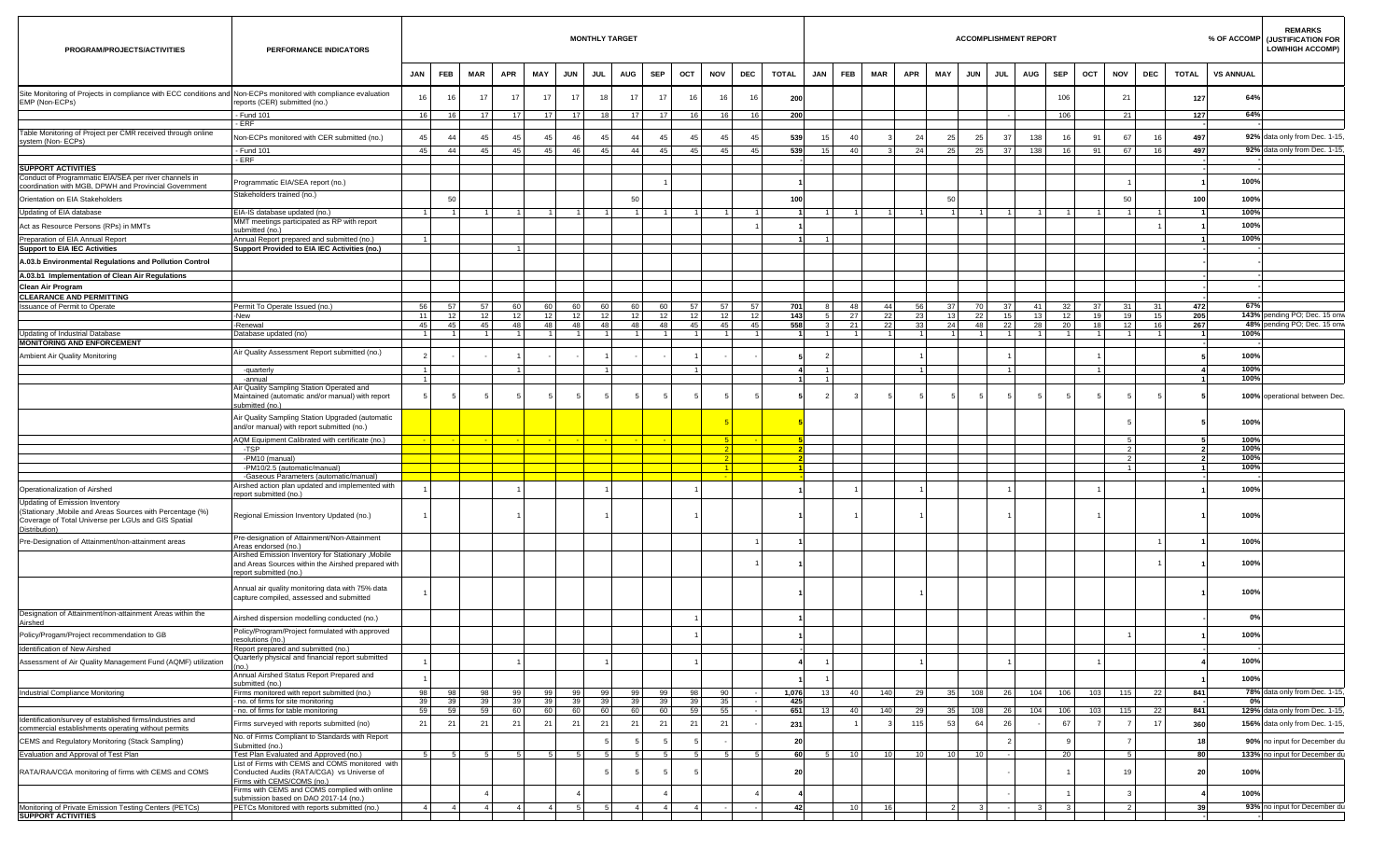| PROGRAM/PROJECTS/ACTIVITIES                                                                                                                                          | PERFORMANCE INDICATORS                                                                                                      |                       |            |                       |                       |                 |                       |          | <b>MONTHLY TARGET</b>       |                 |                                  |                 |           |              |            |                |                                  |                |                       |                       | <b>ACCOMPLISHMENT REPORT</b> |                       |                |                                 |          |                |                  | <b>REMARKS</b><br>% OF ACCOMP (JUSTIFICATION FOR<br><b>LOW/HIGH ACCOMP)</b> |
|----------------------------------------------------------------------------------------------------------------------------------------------------------------------|-----------------------------------------------------------------------------------------------------------------------------|-----------------------|------------|-----------------------|-----------------------|-----------------|-----------------------|----------|-----------------------------|-----------------|----------------------------------|-----------------|-----------|--------------|------------|----------------|----------------------------------|----------------|-----------------------|-----------------------|------------------------------|-----------------------|----------------|---------------------------------|----------|----------------|------------------|-----------------------------------------------------------------------------|
|                                                                                                                                                                      |                                                                                                                             | JAN                   | <b>FEB</b> | MAR                   | <b>APR</b>            | MAY             | <b>JUN</b>            | JUL      | AUG                         | <b>SEP</b>      | OCT                              | NOV             | DEC       | <b>TOTAL</b> | <b>JAN</b> | <b>FEB</b>     | MAR                              | APR<br>MAY     | <b>JUN</b>            | JUL                   | <b>AUG</b>                   | <b>SEP</b>            | OCT            | <b>NOV</b>                      | DEC      | TOTAL          | <b>VS ANNUAL</b> |                                                                             |
| Site Monitoring of Projects in compliance with ECC conditions and Non-ECPs monitored with compliance evaluation<br>EMP (Non-ECPs)                                    | reports (CER) submitted (no.)                                                                                               | 16                    | 16         | 17                    | 17                    | 17              | 17                    | 18       | 17                          | 17              | 16                               | 16              | 16        |              | 200        |                |                                  |                |                       |                       |                              | 106                   |                | 21                              |          | 127            | 64%              |                                                                             |
|                                                                                                                                                                      | - Fund 101                                                                                                                  | 16                    | 16         | 17                    | 17                    | 17 <sup>1</sup> | 17 <sup>1</sup>       | 18       | 17                          | 17 <sup>1</sup> | 16                               | 16              | 16        |              | 200        |                |                                  |                |                       |                       |                              | 106                   |                | 21                              |          | 127            | 64%              |                                                                             |
| Table Monitoring of Project per CMR received through online                                                                                                          | - ERF                                                                                                                       |                       |            |                       |                       |                 |                       |          |                             |                 |                                  |                 |           |              |            |                |                                  |                |                       |                       |                              |                       |                |                                 |          |                |                  |                                                                             |
| system (Non-ECPs)                                                                                                                                                    | Non-ECPs monitored with CER submitted (no.)                                                                                 | 45                    | 44         | 45                    | 45                    | 45              | 46                    | -45      | -44                         | 45              | 45                               | 45              | 45        |              | 539        | 15             | 40                               | 24             | 25<br>25              | 37                    | 138                          | 16                    | 9 <sup>.</sup> | 67                              |          | 497            |                  | 92% data only from Dec. 1-15,                                               |
|                                                                                                                                                                      | - Fund 101<br>- ERF                                                                                                         | 45                    | 44         | 45                    | 45                    | 45              | 46                    | 45       | 44                          | 45              | 45                               | 45              | 45        |              | 539        | 15             | 40<br>$\overline{3}$             | 24             | 25<br>25              | 37                    | 138                          | 16                    | 91             | 67                              | 16       | 497            |                  | 92% data only from Dec. 1-15                                                |
| <b>SUPPORT ACTIVITIES</b>                                                                                                                                            |                                                                                                                             |                       |            |                       |                       |                 |                       |          |                             |                 |                                  |                 |           |              |            |                |                                  |                |                       |                       |                              |                       |                |                                 |          |                |                  |                                                                             |
| Conduct of Programmatic EIA/SEA per river channels in                                                                                                                | Programmatic EIA/SEA report (no.)                                                                                           |                       |            |                       |                       |                 |                       |          |                             |                 |                                  |                 |           |              |            |                |                                  |                |                       |                       |                              |                       |                |                                 |          |                | 100%             |                                                                             |
| coordination with MGB, DPWH and Provincial Government                                                                                                                | Stakeholders trained (no.)                                                                                                  |                       | 50         |                       |                       |                 |                       |          | 50                          |                 |                                  |                 |           |              |            |                |                                  |                | 50                    |                       |                              |                       |                | 50                              |          |                |                  |                                                                             |
| Orientation on EIA Stakeholders                                                                                                                                      |                                                                                                                             |                       |            |                       |                       |                 | $\overline{1}$        |          |                             |                 |                                  | $\overline{1}$  |           |              | 100        | $\overline{1}$ |                                  |                |                       |                       |                              |                       |                |                                 |          | 100            | 100%             |                                                                             |
| Updating of EIA database                                                                                                                                             | EIA-IS database updated (no.)<br>MMT meetings participated as RP with report                                                | 11                    | $\vert$ 1  |                       |                       | $\overline{1}$  |                       | 11       | $\overline{1}$              |                 | 1 <sup>1</sup><br>11             |                 |           |              |            |                | $\overline{1}$<br>1 <sup>1</sup> |                |                       | 1 <sup>1</sup><br>11  | 11                           | $\overline{1}$        |                | $\overline{1}$                  |          |                | 100%             |                                                                             |
| Act as Resource Persons (RPs) in MMTs                                                                                                                                | submitted (no.)                                                                                                             |                       |            |                       |                       |                 |                       |          |                             |                 |                                  |                 |           |              |            |                |                                  |                |                       |                       |                              |                       |                |                                 |          |                | 100%             |                                                                             |
| Preparation of EIA Annual Report<br><b>Support to EIA IEC Activities</b>                                                                                             | Annual Report prepared and submitted (no.)<br>Support Provided to EIA IEC Activities (no.)                                  |                       |            |                       |                       |                 |                       |          |                             |                 |                                  |                 |           |              |            |                |                                  |                |                       |                       |                              |                       |                |                                 |          |                | 100%             |                                                                             |
| A.03.b Environmental Regulations and Pollution Control                                                                                                               |                                                                                                                             |                       |            |                       |                       |                 |                       |          |                             |                 |                                  |                 |           |              |            |                |                                  |                |                       |                       |                              |                       |                |                                 |          |                |                  |                                                                             |
| A.03.b1 Implementation of Clean Air Regulations                                                                                                                      |                                                                                                                             |                       |            |                       |                       |                 |                       |          |                             |                 |                                  |                 |           |              |            |                |                                  |                |                       |                       |                              |                       |                |                                 |          |                |                  |                                                                             |
| Clean Air Program                                                                                                                                                    |                                                                                                                             |                       |            |                       |                       |                 |                       |          |                             |                 |                                  |                 |           |              |            |                |                                  |                |                       |                       |                              |                       |                |                                 |          |                |                  |                                                                             |
| <b>CLEARANCE AND PERMITTING</b>                                                                                                                                      |                                                                                                                             |                       |            |                       |                       |                 |                       |          |                             |                 |                                  |                 |           |              |            |                |                                  |                |                       |                       |                              |                       |                |                                 |          |                |                  |                                                                             |
| Issuance of Permit to Operate                                                                                                                                        | Permit To Operate Issued (no.)                                                                                              | 56<br>11 <sup>1</sup> | 57<br>12   | 57<br>12 <sup>1</sup> | 60                    | 60              | 60<br>12 <sub>1</sub> | 60       | 60<br>12                    | 60              | 57<br>12                         | 57              | 57<br>12  |              | 701<br>143 |                | 48<br>44<br>27<br>22             | 56             | 37<br>13              | 70<br>$37 \mid$<br>22 | 41<br>13                     | 32<br>12 <sub>1</sub> | 37<br>19       | 31<br>19                        | 31       | 472<br>205     | 67%              |                                                                             |
|                                                                                                                                                                      | -New<br>-Renewal                                                                                                            | 45                    | 45         | 45                    | 12 <sub>1</sub><br>48 | 12<br>48        | 48                    | 12<br>48 | 48                          | 48              | 12<br>45                         | 12<br>45        | 45        |              | 558        |                | 21<br>22                         | 23<br>33       | 24                    | 15<br>48<br>22        | 28                           | 20 l                  | 18             | 12                              | 15<br>16 | 267            |                  | 143% pending PO; Dec. 15 onw<br>48% pending PO; Dec. 15 onw                 |
| Updating of Industrial Database                                                                                                                                      | Database updated (no)                                                                                                       | $\overline{1}$        | 11         |                       |                       | $\overline{1}$  | $\overline{1}$        |          | $1 \vert$<br>$\overline{1}$ |                 | $1 \vert$<br>$\overline{1}$      | $\overline{1}$  |           |              |            |                | $\overline{1}$<br>11             | $\blacksquare$ |                       | $\overline{1}$<br>11  | $\overline{1}$               | $\blacksquare$        |                | $\vert$ 1                       |          | $\overline{1}$ | 100%             |                                                                             |
| <b>MONITORING AND ENFORCEMENT</b>                                                                                                                                    | Air Quality Assessment Report submitted (no.)                                                                               |                       |            |                       |                       |                 |                       |          |                             |                 |                                  |                 |           |              |            |                |                                  |                |                       |                       |                              |                       |                |                                 |          |                |                  |                                                                             |
| Ambient Air Quality Monitoring                                                                                                                                       |                                                                                                                             |                       |            |                       |                       |                 |                       |          |                             |                 |                                  |                 |           |              |            |                |                                  |                |                       |                       |                              |                       |                |                                 |          |                | 100%             |                                                                             |
|                                                                                                                                                                      | -quarterly<br>-annual                                                                                                       | 11<br>$\overline{1}$  |            |                       |                       |                 |                       | -11      |                             |                 |                                  |                 |           |              |            |                |                                  |                |                       | $\overline{1}$        |                              |                       |                |                                 |          | -1             | 100%<br>100%     |                                                                             |
|                                                                                                                                                                      | Air Quality Sampling Station Operated and                                                                                   |                       |            |                       |                       |                 |                       |          |                             |                 |                                  |                 |           |              |            |                |                                  |                |                       |                       |                              |                       |                |                                 |          |                |                  |                                                                             |
|                                                                                                                                                                      | Maintained (automatic and/or manual) with report<br>submitted (no.)                                                         |                       |            |                       |                       |                 |                       |          |                             | -5              |                                  |                 |           |              |            |                |                                  |                |                       |                       |                              |                       |                |                                 |          |                |                  | 100% operational between Dec.                                               |
|                                                                                                                                                                      | Air Quality Sampling Station Upgraded (automatic                                                                            |                       |            |                       |                       |                 |                       |          |                             |                 |                                  |                 |           |              |            |                |                                  |                |                       |                       |                              |                       |                |                                 |          |                |                  |                                                                             |
|                                                                                                                                                                      | and/or manual) with report submitted (no.)                                                                                  |                       |            |                       |                       |                 |                       |          |                             |                 |                                  |                 |           |              |            |                |                                  |                |                       |                       |                              |                       |                |                                 |          |                | 100%             |                                                                             |
|                                                                                                                                                                      | AQM Equipment Calibrated with certificate (no.)                                                                             |                       |            |                       |                       |                 |                       |          |                             |                 |                                  |                 | $5 \vert$ |              |            |                |                                  |                |                       |                       |                              |                       |                |                                 |          |                | 100%             |                                                                             |
|                                                                                                                                                                      | -TSP                                                                                                                        |                       |            |                       |                       |                 |                       |          |                             |                 |                                  |                 | 2         |              |            |                |                                  |                |                       |                       |                              |                       |                | $\overline{2}$                  |          |                | 100%             |                                                                             |
|                                                                                                                                                                      | -PM10 (manual)<br>-PM10/2.5 (automatic/manual)                                                                              |                       |            |                       |                       |                 |                       |          |                             |                 |                                  | $-1$            | 2         |              |            |                |                                  |                |                       |                       |                              |                       |                | $\mathcal{P}$<br>1 <sup>1</sup> |          |                | 100%<br>100%     |                                                                             |
|                                                                                                                                                                      | -Gaseous Parameters (automatic/manual)                                                                                      |                       |            |                       |                       |                 |                       |          |                             |                 |                                  | $\sim 10^{-11}$ |           |              |            |                |                                  |                |                       |                       |                              |                       |                |                                 |          |                |                  |                                                                             |
| Operationalization of Airshed                                                                                                                                        | Airshed action plan updated and implemented with<br>report submitted (no.)                                                  |                       |            |                       |                       |                 |                       |          |                             |                 |                                  |                 |           |              |            |                |                                  |                |                       |                       |                              |                       |                |                                 |          |                | 100%             |                                                                             |
| Updating of Emission Inventory<br>(Stationary , Mobile and Areas Sources with Percentage (%)<br>Coverage of Total Universe per LGUs and GIS Spatial<br>Distribution) | Regional Emission Inventory Updated (no.)                                                                                   |                       |            |                       |                       |                 |                       |          |                             |                 |                                  |                 |           |              |            |                |                                  |                |                       |                       |                              |                       |                |                                 |          |                | 100%             |                                                                             |
| Pre-Designation of Attainment/non-attainment areas                                                                                                                   | Pre-designation of Attainment/Non-Attainment                                                                                |                       |            |                       |                       |                 |                       |          |                             |                 |                                  |                 |           |              |            |                |                                  |                |                       |                       |                              |                       |                |                                 |          |                | 100%             |                                                                             |
|                                                                                                                                                                      | Areas endorsed (no.)<br>Airshed Emission Inventory for Stationary , Mobile                                                  |                       |            |                       |                       |                 |                       |          |                             |                 |                                  |                 |           |              |            |                |                                  |                |                       |                       |                              |                       |                |                                 |          |                |                  |                                                                             |
|                                                                                                                                                                      | and Areas Sources within the Airshed prepared with<br>eport submitted (no.)                                                 |                       |            |                       |                       |                 |                       |          |                             |                 |                                  |                 |           |              |            |                |                                  |                |                       |                       |                              |                       |                |                                 |          |                | 100%             |                                                                             |
|                                                                                                                                                                      | Annual air quality monitoring data with 75% data<br>capture compiled, assessed and submitted                                |                       |            |                       |                       |                 |                       |          |                             |                 |                                  |                 |           |              |            |                |                                  |                |                       |                       |                              |                       |                |                                 |          |                | 100%             |                                                                             |
| Designation of Attainment/non-attainment Areas within the<br>Airshed                                                                                                 | Airshed dispersion modelling conducted (no.)                                                                                |                       |            |                       |                       |                 |                       |          |                             |                 |                                  |                 |           |              |            |                |                                  |                |                       |                       |                              |                       |                |                                 |          |                | $0\%$            |                                                                             |
| Policy/Progam/Project recommendation to GB                                                                                                                           | Policy/Program/Project formulated with approved                                                                             |                       |            |                       |                       |                 |                       |          |                             |                 |                                  |                 |           |              |            |                |                                  |                |                       |                       |                              |                       |                |                                 |          |                | 100%             |                                                                             |
| Identification of New Airshed                                                                                                                                        | esolutions (no.)<br>Report prepared and submitted (no.)                                                                     |                       |            |                       |                       |                 |                       |          |                             |                 |                                  |                 |           |              |            |                |                                  |                |                       |                       |                              |                       |                |                                 |          |                |                  |                                                                             |
| Assessment of Air Quality Management Fund (AQMF) utilization                                                                                                         | Quarterly physical and financial report submitted                                                                           |                       |            |                       |                       |                 |                       |          |                             |                 |                                  |                 |           |              |            |                |                                  |                |                       |                       |                              |                       |                |                                 |          |                | 100%             |                                                                             |
|                                                                                                                                                                      | Annual Airshed Status Report Prepared and                                                                                   |                       |            |                       |                       |                 |                       |          |                             |                 |                                  |                 |           |              |            |                |                                  |                |                       |                       |                              |                       |                |                                 |          |                |                  |                                                                             |
|                                                                                                                                                                      | submitted (no.)                                                                                                             |                       |            |                       |                       |                 |                       |          |                             |                 |                                  |                 |           |              |            |                |                                  |                |                       |                       |                              |                       |                |                                 |          |                | 100%             |                                                                             |
| Industrial Compliance Monitoring                                                                                                                                     | Firms monitored with report submitted (no.)                                                                                 | 98                    | 98         | 98                    | 99                    | 99              | 99                    | 99       | 99                          |                 | 99<br>98                         | 90              |           |              | 1,076      | 13             | 40<br>140                        | 29             | 35<br>108             | 26                    | 104                          | 106                   | 103            | 115                             | 22       | 841            |                  | 78% data only from Dec. 1-15,                                               |
|                                                                                                                                                                      | - no. of firms for site monitoring<br>- no. of firms for table monitoring                                                   | 39<br>59              | 39<br>59   | 39<br>59              | 39<br>60              | 39<br>60        | 39<br>60              | 39<br>60 | 39<br>60                    | 60              | 39<br>39<br>59                   | 35<br>55        |           |              | 425<br>651 | 13             | 40<br>140                        | 29             | 35<br>108             | 26                    | 104                          | 106                   | 103            | 115                             | 22       | 841            | 0%               | 129% data only from Dec. 1-15,                                              |
| Identification/survey of established firms/industries and                                                                                                            | Firms surveyed with reports submitted (no)                                                                                  | 21                    | 21         | 21                    | 21                    | 21              | 21                    | 21       | 21                          | 21              | 21                               | 21              |           |              | 231        |                |                                  | 115            | 53<br>64              | 26                    |                              | 67                    |                |                                 | -17      | 360            |                  | 156% data only from Dec. 1-15,                                              |
| commercial establishments operating without permits                                                                                                                  | No. of Firms Compliant to Standards with Report                                                                             |                       |            |                       |                       |                 |                       |          |                             |                 |                                  |                 |           |              |            |                |                                  |                |                       |                       |                              |                       |                |                                 |          |                |                  |                                                                             |
| CEMS and Regulatory Monitoring (Stack Sampling)                                                                                                                      | Submitted (no.)                                                                                                             |                       |            |                       |                       |                 |                       |          |                             | -5              |                                  |                 |           |              | 20         |                |                                  |                |                       | - 2                   |                              |                       |                |                                 |          | 18             |                  | 90% no input for December du                                                |
| Evaluation and Approval of Test Plan                                                                                                                                 | Test Plan Evaluated and Approved (no.)                                                                                      |                       | 5 5        | 5 <sup>1</sup>        | 5 <sup>1</sup>        | 5 <sup>1</sup>  | -51                   | 5        | -5                          |                 | 5 <sup>1</sup><br>5 <sup>5</sup> |                 | 5         |              | 60         | 5              | 10<br>10 <sup>1</sup>            | 10             | 10<br>10 <sup>1</sup> |                       |                              | 20                    |                | 5                               |          | 80 l           |                  | 133% no input for December du                                               |
| RATA/RAA/CGA monitoring of firms with CEMS and COMS                                                                                                                  | List of Firms with CEMS and COMS monitored with<br>Conducted Audits (RATA/CGA) vs Universe of<br>Firms with CEMS/COMS (no.) |                       |            |                       |                       |                 |                       | -5       |                             |                 | 5                                |                 |           |              | 20         |                |                                  |                |                       |                       |                              |                       |                | 19                              |          | 20             | 100%             |                                                                             |
|                                                                                                                                                                      | Firms with CEMS and COMS complied with online<br>submission based on DAO 2017-14 (no.)                                      |                       |            |                       |                       |                 |                       |          |                             |                 |                                  |                 |           |              |            |                |                                  |                |                       |                       |                              |                       |                |                                 |          |                | 100%             |                                                                             |
| Monitoring of Private Emission Testing Centers (PETCs)                                                                                                               | PETCs Monitored with reports submitted (no.)                                                                                | -4                    | 4 I        | $\mathbf{A}$          |                       |                 |                       |          |                             |                 | 4                                |                 |           |              | 42         |                | 16<br>10 <sup>1</sup>            |                |                       |                       |                              |                       |                |                                 |          | -39            |                  | 93% no input for December du                                                |
| <b>SUPPORT ACTIVITIES</b>                                                                                                                                            |                                                                                                                             |                       |            |                       |                       |                 |                       |          |                             |                 |                                  |                 |           |              |            |                |                                  |                |                       |                       |                              |                       |                |                                 |          |                |                  |                                                                             |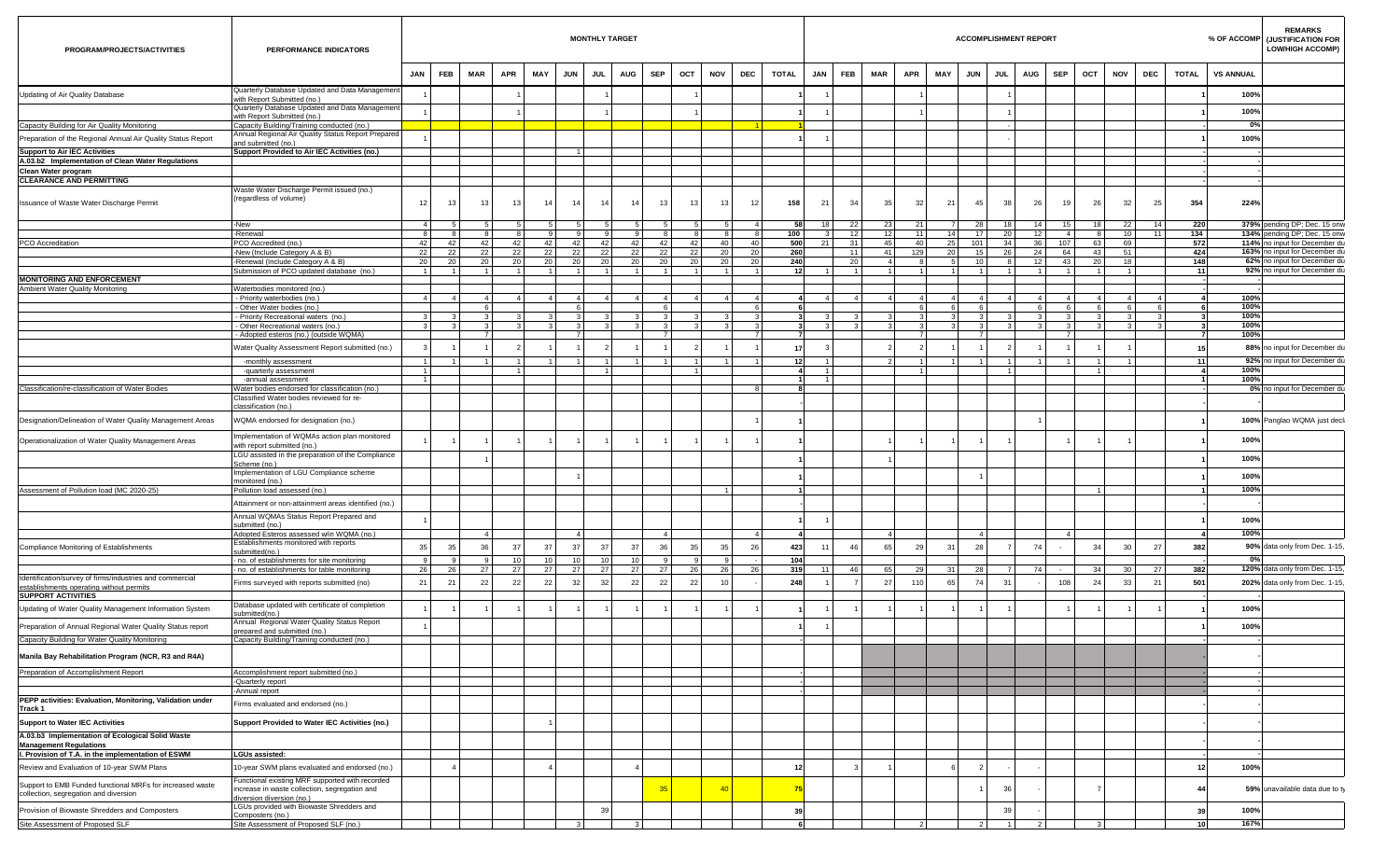| PROGRAM/PROJECTS/ACTIVITIES                                                                        | PERFORMANCE INDICATORS                                                                           |                      |                |                 |                 |                             |                 | <b>MONTHLY TARGET</b> |                 |                 |                |                |                                           |              |                |                         |                |                |            |                | <b>ACCOMPLISHMENT REPORT</b> |            |                                  |                 |                  |                 |            |                     | <b>REMARKS</b><br>% OF ACCOMP (JUSTIFICATION FOR<br><b>LOW/HIGH ACCOMP)</b> |
|----------------------------------------------------------------------------------------------------|--------------------------------------------------------------------------------------------------|----------------------|----------------|-----------------|-----------------|-----------------------------|-----------------|-----------------------|-----------------|-----------------|----------------|----------------|-------------------------------------------|--------------|----------------|-------------------------|----------------|----------------|------------|----------------|------------------------------|------------|----------------------------------|-----------------|------------------|-----------------|------------|---------------------|-----------------------------------------------------------------------------|
|                                                                                                    |                                                                                                  | JAN                  | <b>FEB</b>     | MAR             | <b>APR</b>      | MAY                         | <b>JUN</b>      | JUL                   | <b>AUG</b>      | <b>SEP</b>      | OCT            | <b>NOV</b>     | DEC                                       | <b>TOTAL</b> |                | JAN                     | <b>FEB</b>     | MAR            | APR<br>MAY | <b>JUN</b>     | JUL                          | <b>AUG</b> | <b>SEP</b>                       | OCT             | <b>NOV</b>       | DEC             | TOTAL      |                     | <b>VS ANNUAL</b>                                                            |
| Updating of Air Quality Database                                                                   | Quarterly Database Updated and Data Management<br>with Report Submitted (no.)                    |                      |                |                 |                 |                             |                 |                       |                 |                 |                |                |                                           |              |                |                         |                |                |            |                |                              |            |                                  |                 |                  |                 |            |                     | 100%                                                                        |
|                                                                                                    | Quarterly Database Updated and Data Management                                                   |                      |                |                 |                 |                             |                 |                       |                 |                 |                |                |                                           |              |                |                         |                |                |            |                |                              |            |                                  |                 |                  |                 |            |                     | 100%                                                                        |
| Capacity Building for Air Quality Monitoring                                                       | with Report Submitted (no.)<br>Capacity Building/Training conducted (no.)                        |                      |                |                 |                 |                             |                 |                       |                 |                 |                |                |                                           |              |                |                         |                |                |            |                |                              |            |                                  |                 |                  |                 |            |                     | 0%                                                                          |
| Preparation of the Regional Annual Air Quality Status Report                                       | Annual Regional Air Quality Status Report Prepared                                               |                      |                |                 |                 |                             |                 |                       |                 |                 |                |                |                                           |              |                |                         |                |                |            |                |                              |            |                                  |                 |                  |                 |            |                     | 100%                                                                        |
| <b>Support to Air IEC Activities</b>                                                               | and submitted (no.)<br>Support Provided to Air IEC Activities (no.)                              |                      |                |                 |                 |                             |                 |                       |                 |                 |                |                |                                           |              |                |                         |                |                |            |                |                              |            |                                  |                 |                  |                 |            |                     |                                                                             |
| A.03.b2 Implementation of Clean Water Regulations                                                  |                                                                                                  |                      |                |                 |                 |                             |                 |                       |                 |                 |                |                |                                           |              |                |                         |                |                |            |                |                              |            |                                  |                 |                  |                 |            |                     |                                                                             |
| Clean Water program                                                                                |                                                                                                  |                      |                |                 |                 |                             |                 |                       |                 |                 |                |                |                                           |              |                |                         |                |                |            |                |                              |            |                                  |                 |                  |                 |            |                     |                                                                             |
| <b>CLEARANCE AND PERMITTING</b>                                                                    |                                                                                                  |                      |                |                 |                 |                             |                 |                       |                 |                 |                |                |                                           |              |                |                         |                |                |            |                |                              |            |                                  |                 |                  |                 |            |                     |                                                                             |
| Issuance of Waste Water Discharge Permit                                                           | Waste Water Discharge Permit issued (no.)<br>(regardless of volume)                              | 12                   | 13             | 13 <sup>1</sup> | 13 <sup>1</sup> | 14                          | 14              | 14                    | 14              | 13              |                | 13             | 13<br>12                                  |              | 158            | 21                      | 34             | 35             | 32         | 21             | 45<br>38                     |            | 26<br>19                         | 26              | 32               | 25              | 354        |                     | 224%                                                                        |
|                                                                                                    | -New                                                                                             | 4                    | - 5            |                 |                 | -51<br>5                    | -51             |                       | -51             |                 |                |                | 5 <sub>1</sub><br>$\overline{4}$          |              | 58             | 18                      | 22             | 23             | 21         | $\overline{7}$ | 28<br>18                     |            | 14<br>15                         | 18 <sup>1</sup> | 22               | 14              | 220        |                     | 379% pending DP; Dec. 15 onw                                                |
|                                                                                                    | -Renewal                                                                                         | 8                    | -8             | -81             |                 | 8                           | 9<br>9          | -91                   | -91             |                 | -8 I           | -8             | 8<br>-8                                   |              | 100            | $\overline{\mathbf{3}}$ | 12             | 12             | $-11$      | 14             | 17 <sup>1</sup><br>20        |            | 12<br>4 <sup>1</sup>             | 8               | 10               | 11 <sup>1</sup> | 134        |                     | 134% pending DP; Dec. 15 onw                                                |
| PCO Accreditation                                                                                  | PCO Accredited (no.)<br>-New (Include Category A & B)                                            | 42<br>22             | 42<br>22       | 42<br>22        | 42<br>22        | 42<br>22                    | 42<br>22        | 42<br>22              | 42<br>22        | 22              | 42             | 42<br>22       | 40<br>40<br>20 <sub>1</sub><br>20         |              | 500<br>260     | 21                      | 31<br>11       | 45<br>41       | 40<br>129  | 25<br>20       | 101<br>34<br>15<br>26        |            | 36<br>107<br>24<br>64            | 63<br>43        | 69<br>51         |                 | 572<br>424 |                     | 114% no input for December du<br>163% no input for December du              |
|                                                                                                    | -Renewal (Include Category A & B)                                                                | 20                   | 20             | 20              | 20              | 20                          | 20 <sup>1</sup> | 20                    | 20              | 20              |                | 20             | 20<br>20                                  |              | 240            |                         | 20             | 4 <sup>1</sup> |            |                | 10<br>8                      |            | 12<br>43                         | 20              | 18               |                 | 148        |                     | 62% no input for December du                                                |
| <b>MONITORING AND ENFORCEMENT</b>                                                                  | Submission of PCO updated database (no.)                                                         | 1 <sup>1</sup>       | $\overline{1}$ | 11              | 11              | $\overline{1}$              | 11              | 11                    | 11              |                 | 11             | $\overline{1}$ | $\overline{1}$<br>$\overline{1}$          |              | 12             |                         | $\overline{1}$ | 1 <sup>1</sup> |            |                | $1 \vert$<br>11              |            | 11<br>$\overline{1}$             |                 | 1                |                 | 11         |                     | 92% no input for December du                                                |
| Ambient Water Quality Monitoring                                                                   | Waterbodies monitored (no.)                                                                      |                      |                |                 |                 |                             |                 |                       |                 |                 |                |                |                                           |              |                |                         |                |                |            |                |                              |            |                                  |                 |                  |                 |            |                     |                                                                             |
|                                                                                                    | - Priority waterbodies (no.)                                                                     | 4 <sup>1</sup>       | $\overline{4}$ |                 |                 | 4 <sup>1</sup><br>$\vert$ 4 | 4               | $\overline{4}$        | $4 \vert$       |                 | $\overline{4}$ | $\overline{4}$ | $\overline{4}$<br>$\overline{\mathbf{4}}$ |              |                | $\overline{4}$          | $\overline{4}$ | 4 <sup>1</sup> |            |                | $4 \mid$<br>$\overline{4}$   |            | $\overline{4}$<br>$\overline{4}$ |                 | $4 \overline{ }$ | $\overline{4}$  |            |                     | 100%                                                                        |
|                                                                                                    | - Other Water bodies (no.)<br>Priority Recreational waters (no.)                                 | 3                    |                | -6              |                 |                             | 6               |                       |                 |                 | - 6 I          |                | -6                                        |              |                |                         |                |                |            |                | - 6                          |            | 6<br>6                           |                 | 6                | 6               |            |                     | 100%<br>100%                                                                |
|                                                                                                    | - Other Recreational waters (no.)                                                                | $\overline{3}$       |                | -31             |                 | -3 L<br>$\mathbf{3}$        | 3 <sup>1</sup>  | $\mathbf{3}$          | $\mathbf{3}$    |                 | -3 I           |                | $\mathbf{3}$                              |              |                | $\mathbf{3}$            | $\mathbf{R}$   | $\mathbf{3}$   |            |                | $\mathbf{3}$<br>-3 I         |            | $\mathbf{R}$<br>$\mathbf{B}$     |                 | $\mathbf{3}$     | $\mathcal{R}$   |            |                     | 100%                                                                        |
|                                                                                                    | - Adopted esteros (no.) (outside WQMA)                                                           |                      |                |                 |                 |                             | $\overline{7}$  |                       |                 |                 | $\overline{7}$ |                |                                           |              |                |                         |                |                |            |                | $\overline{z}$               |            | $\overline{7}$                   |                 |                  |                 |            |                     | 100%                                                                        |
|                                                                                                    | Water Quality Assessment Report submitted (no.)                                                  |                      |                |                 |                 |                             |                 |                       |                 |                 |                |                |                                           |              |                |                         |                |                |            |                |                              |            |                                  |                 |                  |                 | 15         |                     | 88% no input for December du                                                |
|                                                                                                    | -monthly assessment                                                                              | - 1                  |                | - 1 1           |                 | 11<br>11                    | - 1 I           | 1 <sup>1</sup>        | -11             |                 | $\overline{1}$ |                | $\overline{1}$                            |              | -12            |                         |                | 2 I            |            |                | 11<br>11                     |            | 11<br>$\overline{1}$             |                 | - 1 I            |                 | -11        |                     | 92% no input for December du                                                |
|                                                                                                    | -quarterly assessment<br>-annual assessment                                                      | 11<br>$\overline{1}$ |                |                 | 1               |                             |                 |                       |                 |                 |                | $\overline{1}$ |                                           |              |                |                         |                |                |            |                | $\overline{1}$               |            |                                  |                 |                  |                 |            | $\overline{\bf{4}}$ | 100%<br>100%                                                                |
| Classification/re-classification of Water Bodies                                                   | Water bodies endorsed for classification (no.)                                                   |                      |                |                 |                 |                             |                 |                       |                 |                 |                |                |                                           |              |                |                         |                |                |            |                |                              |            |                                  |                 |                  |                 |            |                     | 0% no input for December du                                                 |
|                                                                                                    | Classified Water bodies reviewed for re-<br>classification (no.)                                 |                      |                |                 |                 |                             |                 |                       |                 |                 |                |                |                                           |              |                |                         |                |                |            |                |                              |            |                                  |                 |                  |                 |            |                     |                                                                             |
| Designation/Delineation of Water Quality Management Areas                                          | WQMA endorsed for designation (no.)                                                              |                      |                |                 |                 |                             |                 |                       |                 |                 |                |                |                                           |              |                |                         |                |                |            |                |                              |            |                                  |                 |                  |                 |            |                     | 100% Panglao WQMA just decli                                                |
| Operationalization of Water Quality Management Areas                                               | Implementation of WQMAs action plan monitored                                                    |                      |                |                 |                 |                             |                 |                       |                 |                 |                |                |                                           |              |                |                         |                |                |            |                |                              |            |                                  |                 |                  |                 |            |                     | 100%                                                                        |
|                                                                                                    | with report submitted (no.)<br>LGU assisted in the preparation of the Compliance<br>Scheme (no.  |                      |                |                 |                 |                             |                 |                       |                 |                 |                |                |                                           |              |                |                         |                |                |            |                |                              |            |                                  |                 |                  |                 |            |                     | 100%                                                                        |
|                                                                                                    | Implementation of LGU Compliance scheme                                                          |                      |                |                 |                 |                             |                 |                       |                 |                 |                |                |                                           |              |                |                         |                |                |            |                |                              |            |                                  |                 |                  |                 |            |                     | 100%                                                                        |
| Assessment of Pollution load (MC 2020-25)                                                          | monitored (no.)<br>Pollution load assessed (no.)                                                 |                      |                |                 |                 |                             |                 |                       |                 |                 |                |                |                                           |              |                |                         |                |                |            |                |                              |            |                                  |                 |                  |                 |            |                     | 100%                                                                        |
|                                                                                                    |                                                                                                  |                      |                |                 |                 |                             |                 |                       |                 |                 |                |                |                                           |              |                |                         |                |                |            |                |                              |            |                                  |                 |                  |                 |            |                     |                                                                             |
|                                                                                                    | Attainment or non-attainment areas identified (no.)                                              |                      |                |                 |                 |                             |                 |                       |                 |                 |                |                |                                           |              |                |                         |                |                |            |                |                              |            |                                  |                 |                  |                 |            |                     |                                                                             |
|                                                                                                    | Annual WQMAs Status Report Prepared and<br>submitted (no.)                                       |                      |                |                 |                 |                             |                 |                       |                 |                 |                |                |                                           |              |                |                         |                |                |            |                |                              |            |                                  |                 |                  |                 |            |                     | 100%                                                                        |
|                                                                                                    | Adopted Esteros assessed w/in WQMA (no.)                                                         |                      |                |                 |                 |                             | $\mathbf{A}$    |                       |                 |                 |                |                |                                           |              |                |                         |                | $\mathbf{A}$   |            |                |                              |            |                                  |                 |                  |                 |            |                     | 100%                                                                        |
| Compliance Monitoring of Establishments                                                            | Establishments monitored with reports<br>submitted(no.)                                          | 35                   | 35             | 36              | 37              | 37                          | 37              | 37                    | 37              | 36              |                | 35             | 35<br>26                                  |              | 423            | 11                      | 46             | 65             | 29         | 31             | 28                           | 74         |                                  | 34              | 30               | 27              | 382        |                     | 90% data only from Dec. 1-15,                                               |
|                                                                                                    | - no. of establishments for site monitoring                                                      | 9                    | 9              | -9              | 10 <sub>1</sub> | 10 <sup>1</sup>             | 10 <sup>1</sup> | 10 <sup>1</sup>       | 10 <sup>1</sup> |                 | $\mathsf{Q}$   |                | 9                                         |              | 104            |                         |                |                |            |                |                              |            |                                  |                 |                  |                 |            |                     | 0%                                                                          |
| Identification/survey of firms/industries and commercial                                           | - no. of establishments for table monitoring                                                     | 26                   | 26             | $27 \mid$       | 27              | 27                          | 27              | 27                    | 27              | 27 <sup>1</sup> |                | 26             | 26<br>26                                  |              | 319            | 11                      | 46             | 65             | 29         | 31             | 28<br>- 7 I                  |            | 74                               | 34              | 30 <sub>1</sub>  | 27              | 382        |                     | 120% data only from Dec. 1-15,                                              |
| establishments operating without permits                                                           | Firms surveyed with reports submitted (no)                                                       | 21                   | 21             | 22              | 22              | 22                          | 32              | 32                    | 22              | 22              |                | 22             | 10 <sup>1</sup>                           |              | 248            |                         |                | 27             | 110        | 65             | 74<br>31                     |            | 108                              | 24              | 33               | 21              | 501        |                     | 202% data only from Dec. 1-15,                                              |
| <b>SUPPORT ACTIVITIES</b>                                                                          | Database updated with certificate of completion                                                  |                      |                |                 |                 |                             |                 |                       |                 |                 |                |                |                                           |              |                |                         |                |                |            |                |                              |            |                                  |                 |                  |                 |            |                     |                                                                             |
| Updating of Water Quality Management Information System                                            | ubmitted(no                                                                                      |                      |                |                 |                 |                             |                 |                       |                 |                 |                |                |                                           |              |                |                         |                |                |            |                |                              |            |                                  |                 |                  |                 |            |                     | 100%                                                                        |
| Preparation of Annual Regional Water Quality Status report                                         | Annual Regional Water Quality Status Report<br>prepared and submitted (no.)                      |                      |                |                 |                 |                             |                 |                       |                 |                 |                |                |                                           |              |                |                         |                |                |            |                |                              |            |                                  |                 |                  |                 |            |                     | 100%                                                                        |
| Capacity Building for Water Quality Monitoring                                                     | Capacity Building/Training conducted (no.)                                                       |                      |                |                 |                 |                             |                 |                       |                 |                 |                |                |                                           |              |                |                         |                |                |            |                |                              |            |                                  |                 |                  |                 |            |                     |                                                                             |
| Manila Bay Rehabilitation Program (NCR, R3 and R4A)                                                |                                                                                                  |                      |                |                 |                 |                             |                 |                       |                 |                 |                |                |                                           |              |                |                         |                |                |            |                |                              |            |                                  |                 |                  |                 |            |                     |                                                                             |
| Preparation of Accomplishment Report                                                               | Accomplishment report submitted (no.)<br>-Quarterly report                                       |                      |                |                 |                 |                             |                 |                       |                 |                 |                |                |                                           |              |                |                         |                |                |            |                |                              |            |                                  |                 |                  |                 |            |                     |                                                                             |
|                                                                                                    | -Annual report                                                                                   |                      |                |                 |                 |                             |                 |                       |                 |                 |                |                |                                           |              |                |                         |                |                |            |                |                              |            |                                  |                 |                  |                 |            |                     |                                                                             |
| PEPP activities: Evaluation, Monitoring, Validation under<br>Track 1                               | Firms evaluated and endorsed (no.)                                                               |                      |                |                 |                 |                             |                 |                       |                 |                 |                |                |                                           |              |                |                         |                |                |            |                |                              |            |                                  |                 |                  |                 |            |                     |                                                                             |
| <b>Support to Water IEC Activities</b>                                                             | Support Provided to Water IEC Activities (no.)                                                   |                      |                |                 |                 |                             |                 |                       |                 |                 |                |                |                                           |              |                |                         |                |                |            |                |                              |            |                                  |                 |                  |                 |            |                     |                                                                             |
| A.03.b3 Implementation of Ecological Solid Waste                                                   |                                                                                                  |                      |                |                 |                 |                             |                 |                       |                 |                 |                |                |                                           |              |                |                         |                |                |            |                |                              |            |                                  |                 |                  |                 |            |                     |                                                                             |
| <b>Management Regulations</b><br>I. Provision of T.A. in the implementation of ESWM                | <b>LGUs assisted:</b>                                                                            |                      |                |                 |                 |                             |                 |                       |                 |                 |                |                |                                           |              |                |                         |                |                |            |                |                              |            |                                  |                 |                  |                 |            |                     |                                                                             |
| Review and Evaluation of 10-year SWM Plans                                                         | 10-year SWM plans evaluated and endorsed (no.)                                                   |                      | $\overline{4}$ |                 |                 |                             |                 |                       |                 |                 |                |                |                                           |              | 12             |                         |                |                |            |                | $\overline{2}$               |            |                                  |                 |                  |                 | -12        |                     | 100%                                                                        |
| Support to EMB Funded functional MRFs for increased waste<br>collection, segregation and diversion | Functional existing MRF supported with recorded<br>increase in waste collection, segregation and |                      |                |                 |                 |                             |                 |                       |                 |                 |                |                | $-40$                                     |              | 75             |                         |                |                |            |                | 36                           |            |                                  |                 |                  |                 | -44        |                     | 59% unavailable data due to ty                                              |
|                                                                                                    | diversion diversion (no.)<br>LGUs provided with Biowaste Shredders and                           |                      |                |                 |                 |                             |                 |                       |                 |                 |                |                |                                           |              |                |                         |                |                |            |                |                              |            |                                  |                 |                  |                 |            |                     |                                                                             |
| Provision of Biowaste Shredders and Composters                                                     | Composters (no.)                                                                                 |                      |                |                 |                 |                             |                 | 39                    |                 |                 |                |                |                                           |              | 3 <sub>5</sub> |                         |                |                |            |                | 39                           |            |                                  |                 |                  |                 | 39         |                     | 100%                                                                        |
| Site Assessment of Proposed SLF                                                                    | Site Assessment of Proposed SLF (no.)                                                            |                      |                |                 |                 |                             |                 |                       |                 |                 |                |                |                                           |              |                |                         |                |                |            |                | 11                           |            |                                  |                 |                  |                 | 10         |                     | 167%                                                                        |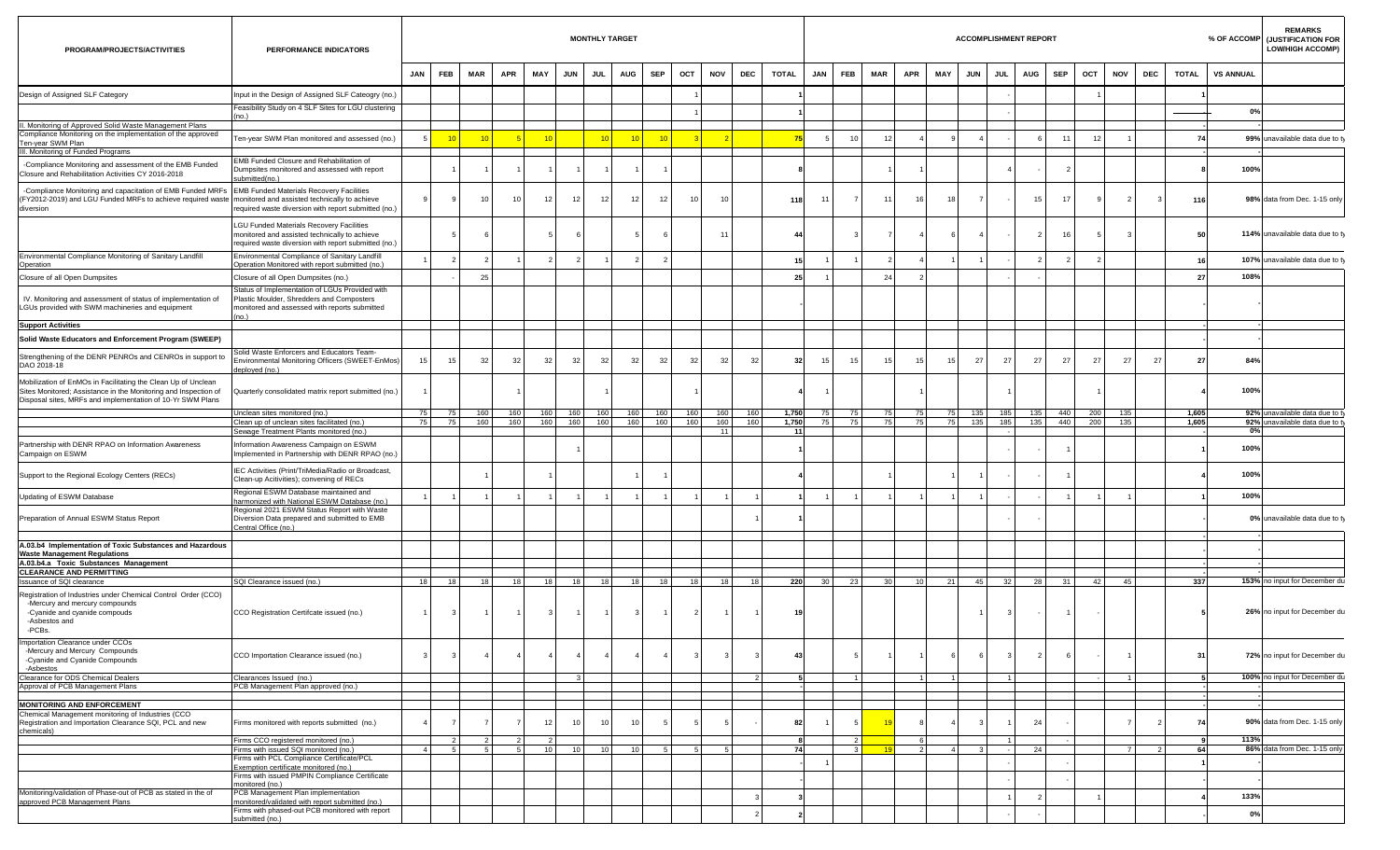| PROGRAM/PROJECTS/ACTIVITIES                                                                                                                                                                    | PERFORMANCE INDICATORS                                                                                                                                |                |                     |            |                                            |                         |                    | <b>MONTHLY TARGET</b> |                 |                 |              |                  |                |                        |                 |                                           |                 |                     |                 |                  | <b>ACCOMPLISHMENT REPORT</b> |                 |            |            |            |                |                |                  | <b>REMARKS</b><br>% OF ACCOMP (JUSTIFICATION FOR<br><b>LOW/HIGH ACCOMP)</b> |
|------------------------------------------------------------------------------------------------------------------------------------------------------------------------------------------------|-------------------------------------------------------------------------------------------------------------------------------------------------------|----------------|---------------------|------------|--------------------------------------------|-------------------------|--------------------|-----------------------|-----------------|-----------------|--------------|------------------|----------------|------------------------|-----------------|-------------------------------------------|-----------------|---------------------|-----------------|------------------|------------------------------|-----------------|------------|------------|------------|----------------|----------------|------------------|-----------------------------------------------------------------------------|
|                                                                                                                                                                                                |                                                                                                                                                       | JAN            | FEB                 | <b>MAR</b> | <b>APR</b>                                 | MAY                     | <b>JUN</b>         | JUL                   | <b>AUG</b>      | <b>SEP</b>      | OCT          | <b>NOV</b>       | <b>DEC</b>     | <b>TOTAL</b>           | JAN FEB         |                                           | <b>MAR</b>      | <b>APR</b>          | <b>MAY</b>      | <b>JUN</b>       | <b>JUL</b>                   | <b>AUG</b>      | <b>SEP</b> | OCT        | <b>NOV</b> | DEC            | <b>TOTAL</b>   | <b>VS ANNUAL</b> |                                                                             |
| Design of Assigned SLF Category                                                                                                                                                                | Input in the Design of Assigned SLF Cateogry (no.)                                                                                                    |                |                     |            |                                            |                         |                    |                       |                 |                 |              |                  |                |                        |                 |                                           |                 |                     |                 |                  |                              |                 |            |            |            |                |                |                  |                                                                             |
|                                                                                                                                                                                                | Feasibility Study on 4 SLF Sites for LGU clustering                                                                                                   |                |                     |            |                                            |                         |                    |                       |                 |                 |              |                  |                |                        |                 |                                           |                 |                     |                 |                  |                              |                 |            |            |            |                |                | 0%               |                                                                             |
| Monitoring of Approved Solid Waste Management Plans                                                                                                                                            |                                                                                                                                                       |                |                     |            |                                            |                         |                    |                       |                 |                 |              |                  |                |                        |                 |                                           |                 |                     |                 |                  |                              |                 |            |            |            |                |                |                  |                                                                             |
| Compliance Monitoring on the implementation of the approved<br>Ten-year SWM Plan                                                                                                               | Ten-year SWM Plan monitored and assessed (no.)                                                                                                        |                | $-10$               |            |                                            | 10                      |                    | $-10$                 | 10              | $-10$           |              |                  |                | 75                     |                 | 10                                        | 12              |                     |                 |                  |                              |                 | $\cdot$ 1  | 12         |            |                | 74             |                  | 99% unavailable data due to ty                                              |
| III. Monitoring of Funded Programs                                                                                                                                                             | EMB Funded Closure and Rehabilitation of                                                                                                              |                |                     |            |                                            |                         |                    |                       |                 |                 |              |                  |                |                        |                 |                                           |                 |                     |                 |                  |                              |                 |            |            |            |                |                |                  |                                                                             |
| -Compliance Monitoring and assessment of the EMB Funded<br>Closure and Rehabilitation Activities CY 2016-2018                                                                                  | Dumpsites monitored and assessed with report<br>submitted(no.)                                                                                        |                |                     |            |                                            |                         |                    |                       |                 |                 |              |                  |                |                        |                 |                                           |                 |                     |                 |                  |                              |                 |            |            |            |                |                | 100%             |                                                                             |
| -Compliance Monitoring and capacitation of EMB Funded MRFs<br>FY2012-2019) and LGU Funded MRFs to achieve required waste monitored and assisted technically to achieve<br>diversion            | <b>EMB Funded Materials Recovery Facilities</b><br>required waste diversion with report submitted (no.)                                               |                |                     |            | 10 <sup>1</sup><br>10                      | 12                      | 12 <sub>1</sub>    | 12 <sub>1</sub>       | 12 <sub>1</sub> | 12 <sub>1</sub> | 10           | 10               |                | 118                    | 11              | - 7 I                                     | 11              | 16                  | 18              | $\overline{7}$   |                              | 15 <sup>1</sup> | 17         |            | 2          |                | 116            |                  | 98% data from Dec. 1-15 only                                                |
|                                                                                                                                                                                                | LGU Funded Materials Recovery Facilities<br>monitored and assisted technically to achieve<br>required waste diversion with report submitted (no.)     |                |                     |            |                                            |                         |                    |                       |                 |                 |              | 11               |                | $\mathbf{A}\mathbf{A}$ |                 | $\mathbf{3}$                              |                 |                     |                 | $\overline{4}$   |                              |                 | 16         |            |            |                | 50             |                  | 114% unavailable data due to ty                                             |
| Environmental Compliance Monitoring of Sanitary Landfill<br>Operation                                                                                                                          | Environmental Compliance of Sanitary Landfill<br>Operation Monitored with report submitted (no.)                                                      |                |                     |            |                                            | 2                       | $\overline{2}$     |                       | $\overline{2}$  | $\overline{2}$  |              |                  |                | 15                     |                 |                                           |                 |                     |                 |                  |                              |                 |            |            |            |                |                |                  | 107% unavailable data due to ty                                             |
| Closure of all Open Dumpsites                                                                                                                                                                  | Closure of all Open Dumpsites (no.)                                                                                                                   |                |                     |            | 25                                         |                         |                    |                       |                 |                 |              |                  |                | 25                     |                 |                                           | 24              |                     |                 |                  |                              |                 |            |            |            |                | 27             | 108%             |                                                                             |
| IV. Monitoring and assessment of status of implementation of<br>GUs provided with SWM machineries and equipment                                                                                | Status of Implementation of LGUs Provided with<br>Plastic Moulder, Shredders and Composters<br>monitored and assessed with reports submitted<br>(no.) |                |                     |            |                                            |                         |                    |                       |                 |                 |              |                  |                |                        |                 |                                           |                 |                     |                 |                  |                              |                 |            |            |            |                |                |                  |                                                                             |
| <b>Support Activities</b>                                                                                                                                                                      |                                                                                                                                                       |                |                     |            |                                            |                         |                    |                       |                 |                 |              |                  |                |                        |                 |                                           |                 |                     |                 |                  |                              |                 |            |            |            |                |                |                  |                                                                             |
| Solid Waste Educators and Enforcement Program (SWEEP)                                                                                                                                          |                                                                                                                                                       |                |                     |            |                                            |                         |                    |                       |                 |                 |              |                  |                |                        |                 |                                           |                 |                     |                 |                  |                              |                 |            |            |            |                |                |                  |                                                                             |
| Strengthening of the DENR PENROs and CENROs in support to<br>DAO 2018-18                                                                                                                       | Solid Waste Enforcers and Educators Team-<br>Environmental Monitoring Officers (SWEET-EnMos)<br>deployed (no.)                                        | 15             | 15                  |            | 32<br>32                                   | 32                      | 32                 | 32                    | 32              | 32              | -32          | 32               | 32             | 32                     | 15              | 15                                        | 15              | 15                  | 15 <sup>1</sup> | 27               | 27                           | 27              | 27         | 27         | 27         | $\mathcal{L}$  | 27             | 84%              |                                                                             |
| Mobilization of EnMOs in Facilitating the Clean Up of Unclean<br>Sites Monitored; Assistance in the Monitoring and Inspection of<br>Disposal sites, MRFs and implementation of 10-Yr SWM Plans | Quarterly consolidated matrix report submitted (no.)                                                                                                  |                |                     |            |                                            |                         |                    |                       |                 |                 |              |                  |                |                        | $\overline{1}$  |                                           |                 |                     |                 |                  |                              |                 |            |            |            |                |                | 100%             |                                                                             |
|                                                                                                                                                                                                | Unclean sites monitored (no.)<br>Clean up of unclean sites facilitated (no.)<br>Sewage Treatment Plants monitored (no.)                               | 75<br>75       | 75<br>75            |            | 160<br>160<br>160<br>160                   |                         | 160 160<br>160 160 | 160<br>160            | 160<br>160      | 160<br>160      | 160<br>160   | 160<br>160<br>11 | 160<br>160     | 1,750<br>1,750<br>11   | 75<br>75        | 75<br>75                                  | 75<br>75        | 75<br>75            |                 | 75 135<br>75 135 | 185<br>185                   | 135<br>135      | 440<br>440 | 200<br>200 | 135<br>135 |                | 1,605<br>1,605 | 0%               | 92% unavailable data due to ty<br>92% unavailable data due to ty            |
| Partnership with DENR RPAO on Information Awareness<br>Campaign on ESWM                                                                                                                        | Information Awareness Campaign on ESWM<br>Implemented in Partnership with DENR RPAO (no.)                                                             |                |                     |            |                                            |                         |                    |                       |                 |                 |              |                  |                |                        |                 |                                           |                 |                     |                 |                  |                              |                 |            |            |            |                |                | 100%             |                                                                             |
| Support to the Regional Ecology Centers (RECs)                                                                                                                                                 | IEC Activities (Print/TriMedia/Radio or Broadcast,<br>Clean-up Acitivities); convening of RECs                                                        |                |                     |            |                                            |                         |                    |                       |                 |                 |              |                  |                |                        |                 |                                           |                 |                     |                 |                  |                              |                 |            |            |            |                |                | 100%             |                                                                             |
| Jpdating of ESWM Database                                                                                                                                                                      | Regional ESWM Database maintained and<br>harmonized with National ESWM Database (no.)                                                                 |                |                     |            |                                            | $\overline{1}$          | $\overline{1}$     | $\overline{1}$        |                 |                 |              |                  |                |                        | $\blacksquare$  |                                           |                 |                     |                 |                  |                              |                 |            |            |            |                |                | 100%             |                                                                             |
| Preparation of Annual ESWM Status Report                                                                                                                                                       | Regional 2021 ESWM Status Report with Waste<br>Diversion Data prepared and submitted to EMB<br>Central Office (no.)                                   |                |                     |            |                                            |                         |                    |                       |                 |                 |              |                  |                |                        |                 |                                           |                 |                     |                 |                  |                              |                 |            |            |            |                |                |                  | 0% unavailable data due to ty                                               |
| A.03.b4 Implementation of Toxic Substances and Hazardous<br><b>Waste Management Regulations</b>                                                                                                |                                                                                                                                                       |                |                     |            |                                            |                         |                    |                       |                 |                 |              |                  |                |                        |                 |                                           |                 |                     |                 |                  |                              |                 |            |            |            |                |                |                  |                                                                             |
| A.03.b4.a Toxic Substances Management<br><b>CLEARANCE AND PERMITTING</b>                                                                                                                       |                                                                                                                                                       |                |                     |            |                                            |                         |                    |                       |                 |                 |              |                  |                |                        |                 |                                           |                 |                     |                 |                  |                              |                 |            |            |            |                |                |                  |                                                                             |
| Issuance of SQI clearance                                                                                                                                                                      | SQI Clearance issued (no.)                                                                                                                            | 18             | 18                  |            | 18 I<br>18                                 | 18                      | 18 <sup>1</sup>    | 18                    | 18              | 18              | 18           | 18               | 18             | 220                    | 30 <sup>1</sup> | 23                                        | 30 <sup>1</sup> | 10 <sup>1</sup>     | 21              | 45               | 32                           | 28              | 31         | 42         | 45         |                | 337            |                  | 153% no input for December du                                               |
| Registration of Industries under Chemical Control Order (CCO)<br>-Mercury and mercury compounds<br>-Cyanide and cyanide compouds<br>-Asbestos and<br>-PCBs.                                    | CCO Registration Certifcate issued (no.)                                                                                                              | $1 \vert$      | 3 <sup>1</sup>      |            | $\blacksquare$<br>$\vert$ 1                | $\overline{\mathbf{3}}$ | $\overline{1}$     | $\blacksquare$ 1      | $3^{\circ}$     | $\overline{1}$  | $\vert$ 2    | $1 \vert$        | $\overline{1}$ | 19                     |                 |                                           |                 |                     |                 | 11               | $\mathbf{3}$                 | $\sim$          |            |            |            |                |                |                  | 26% no input for December du                                                |
| mportation Clearance under CCOs<br>-Mercury and Mercury Compounds<br>-Cyanide and Cyanide Compounds<br>-Asbestos                                                                               | CCO Importation Clearance issued (no.)                                                                                                                | $\mathbf{3}$   | $\mathbf{3}$        |            | $\sim$ 4                                   |                         | $\overline{4}$     | 4 <sup>1</sup>        | 4               | $\overline{4}$  | $\mathbf{3}$ | 3 <sup>1</sup>   | - 3            | 43                     |                 | 5                                         |                 |                     |                 | 6                | - 3                          | 2               |            |            |            |                | 31             |                  | 72% no input for December du                                                |
| Clearance for ODS Chemical Dealers                                                                                                                                                             | Clearances Issued (no.)                                                                                                                               |                |                     |            |                                            |                         |                    |                       |                 |                 |              |                  |                |                        |                 | $\overline{1}$                            |                 |                     |                 |                  |                              |                 |            |            |            |                |                |                  | 100% no input for December du                                               |
| Approval of PCB Management Plans                                                                                                                                                               | PCB Management Plan approved (no.)                                                                                                                    |                |                     |            |                                            |                         |                    |                       |                 |                 |              |                  |                |                        |                 |                                           |                 |                     |                 |                  |                              |                 |            |            |            |                |                |                  | $\overline{\phantom{a}}$                                                    |
| <b>MONITORING AND ENFORCEMENT</b>                                                                                                                                                              |                                                                                                                                                       |                |                     |            |                                            |                         |                    |                       |                 |                 |              |                  |                |                        |                 |                                           |                 |                     |                 |                  |                              |                 |            |            |            |                |                |                  |                                                                             |
| Chemical Management monitoring of Industries (CCO<br>Registration and Importation Clearance SQI, PCL and new<br>chemicals)                                                                     | Firms monitored with reports submitted (no.)                                                                                                          |                |                     |            |                                            | 12                      | 10 <sup>1</sup>    | 10 <sub>1</sub>       | 10 <sub>1</sub> |                 |              |                  |                | 82                     |                 | $\sqrt{5}$                                | 19              |                     |                 |                  |                              | 24              |            |            |            |                | 74             |                  | 90% data from Dec. 1-15 only                                                |
|                                                                                                                                                                                                | Firms CCO registered monitored (no.)<br>Firms with issued SQI monitored (no.)                                                                         | 4 <sup>1</sup> | $\overline{2}$<br>5 |            | $\overline{2}$<br>$\overline{2}$<br>5<br>5 | $\overline{2}$<br>10    | 10                 | 10                    | 10              | 5               | 5            | 5                |                | 74                     |                 | $\overline{2}$<br>$\overline{\mathbf{3}}$ | 19              | 6<br>$\overline{2}$ | $\overline{4}$  | $3 \mid$         |                              | 24              |            |            | - 71       | $\overline{2}$ | 64             | 113%             | 86% data from Dec. 1-15 only                                                |
|                                                                                                                                                                                                | Firms with PCL Compliance Certificate/PCL                                                                                                             |                |                     |            |                                            |                         |                    |                       |                 |                 |              |                  |                |                        |                 |                                           |                 |                     |                 |                  |                              |                 |            |            |            |                |                |                  |                                                                             |
|                                                                                                                                                                                                | Exemption certificate monitored (no.)<br>Firms with issued PMPIN Compliance Certificate                                                               |                |                     |            |                                            |                         |                    |                       |                 |                 |              |                  |                |                        |                 |                                           |                 |                     |                 |                  |                              |                 |            |            |            |                |                |                  |                                                                             |
| Monitoring/validation of Phase-out of PCB as stated in the of<br>approved PCB Management Plans                                                                                                 | monitored (no.)<br>PCB Management Plan implementation<br>monitored/validated with report submitted (no.)                                              |                |                     |            |                                            |                         |                    |                       |                 |                 |              |                  |                |                        |                 |                                           |                 |                     |                 |                  |                              |                 |            |            |            |                |                | 133%             |                                                                             |
|                                                                                                                                                                                                | Firms with phased-out PCB monitored with report<br>submitted (no.)                                                                                    |                |                     |            |                                            |                         |                    |                       |                 |                 |              |                  |                |                        |                 |                                           |                 |                     |                 |                  |                              |                 |            |            |            |                |                | 0%               |                                                                             |